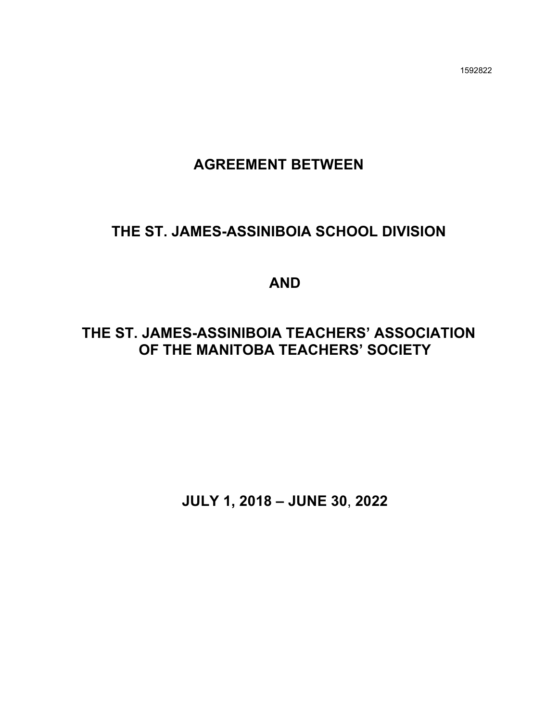1592822

# **AGREEMENT BETWEEN**

# **THE ST. JAMES-ASSINIBOIA SCHOOL DIVISION**

# **AND**

# **THE ST. JAMES-ASSINIBOIA TEACHERS' ASSOCIATION OF THE MANITOBA TEACHERS' SOCIETY**

**JULY 1, 2018 – JUNE 30**, **2022**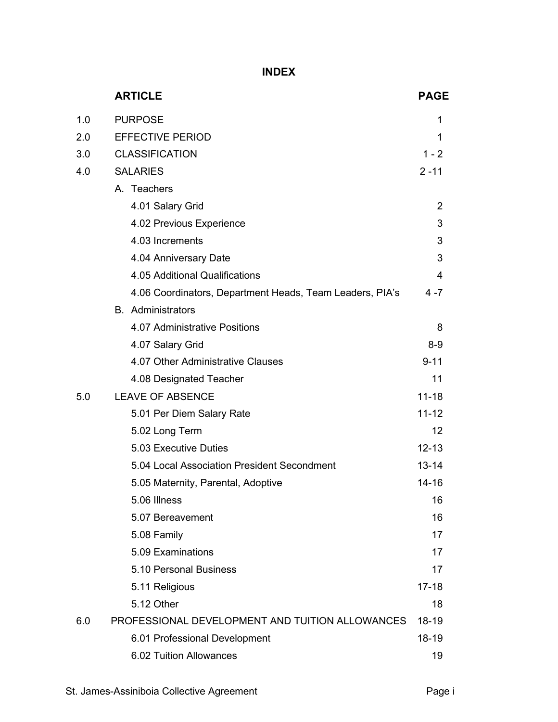**INDEX**

|     | <b>ARTICLE</b>                                           | <b>PAGE</b> |
|-----|----------------------------------------------------------|-------------|
| 1.0 | <b>PURPOSE</b>                                           | 1           |
| 2.0 | <b>EFFECTIVE PERIOD</b>                                  | 1           |
| 3.0 | <b>CLASSIFICATION</b>                                    | $1 - 2$     |
| 4.0 | <b>SALARIES</b>                                          | $2 - 11$    |
|     | A. Teachers                                              |             |
|     | 4.01 Salary Grid                                         | 2           |
|     | 4.02 Previous Experience                                 | 3           |
|     | 4.03 Increments                                          | 3           |
|     | 4.04 Anniversary Date                                    | 3           |
|     | 4.05 Additional Qualifications                           | 4           |
|     | 4.06 Coordinators, Department Heads, Team Leaders, PIA's | $4 - 7$     |
|     | <b>B.</b> Administrators                                 |             |
|     | 4.07 Administrative Positions                            | 8           |
|     | 4.07 Salary Grid                                         | $8-9$       |
|     | 4.07 Other Administrative Clauses                        | $9 - 11$    |
|     | 4.08 Designated Teacher                                  | 11          |
| 5.0 | <b>LEAVE OF ABSENCE</b>                                  | $11 - 18$   |
|     | 5.01 Per Diem Salary Rate                                | $11 - 12$   |
|     | 5.02 Long Term                                           | 12          |
|     | 5.03 Executive Duties                                    | $12 - 13$   |
|     | 5.04 Local Association President Secondment              | $13 - 14$   |
|     | 5.05 Maternity, Parental, Adoptive                       | 14-16       |
|     | 5.06 Illness                                             | 16          |
|     | 5.07 Bereavement                                         | 16          |
|     | 5.08 Family                                              | 17          |
|     | 5.09 Examinations                                        | 17          |
|     | 5.10 Personal Business                                   | 17          |
|     | 5.11 Religious                                           | $17 - 18$   |
|     | 5.12 Other                                               | 18          |
| 6.0 | PROFESSIONAL DEVELOPMENT AND TUITION ALLOWANCES          | 18-19       |
|     | 6.01 Professional Development                            | 18-19       |
|     | 6.02 Tuition Allowances                                  | 19          |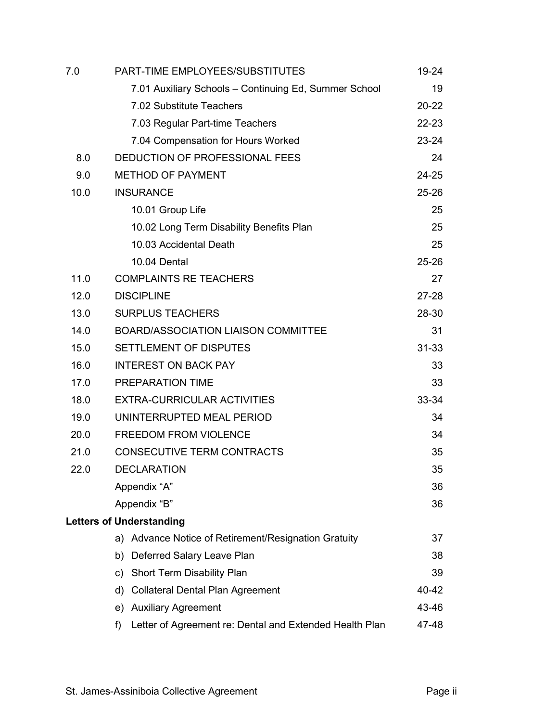| 7.0  | PART-TIME EMPLOYEES/SUBSTITUTES                               | 19-24     |
|------|---------------------------------------------------------------|-----------|
|      | 7.01 Auxiliary Schools - Continuing Ed, Summer School         | 19        |
|      | 7.02 Substitute Teachers                                      | $20 - 22$ |
|      | 7.03 Regular Part-time Teachers                               | 22-23     |
|      | 7.04 Compensation for Hours Worked                            | 23-24     |
| 8.0  | DEDUCTION OF PROFESSIONAL FEES                                | 24        |
| 9.0  | <b>METHOD OF PAYMENT</b>                                      | $24 - 25$ |
| 10.0 | <b>INSURANCE</b>                                              | 25-26     |
|      | 10.01 Group Life                                              | 25        |
|      | 10.02 Long Term Disability Benefits Plan                      | 25        |
|      | 10.03 Accidental Death                                        | 25        |
|      | 10.04 Dental                                                  | $25 - 26$ |
| 11.0 | <b>COMPLAINTS RE TEACHERS</b>                                 | 27        |
| 12.0 | <b>DISCIPLINE</b>                                             | 27-28     |
| 13.0 | <b>SURPLUS TEACHERS</b>                                       | 28-30     |
| 14.0 | <b>BOARD/ASSOCIATION LIAISON COMMITTEE</b>                    | 31        |
| 15.0 | SETTLEMENT OF DISPUTES                                        | 31-33     |
| 16.0 | <b>INTEREST ON BACK PAY</b>                                   | 33        |
| 17.0 | <b>PREPARATION TIME</b>                                       | 33        |
| 18.0 | <b>EXTRA-CURRICULAR ACTIVITIES</b>                            | 33-34     |
| 19.0 | UNINTERRUPTED MEAL PERIOD                                     | 34        |
| 20.0 | <b>FREEDOM FROM VIOLENCE</b>                                  | 34        |
| 21.0 | <b>CONSECUTIVE TERM CONTRACTS</b>                             | 35        |
| 22.0 | <b>DECLARATION</b>                                            | 35        |
|      | Appendix "A"                                                  | 36        |
|      | Appendix "B"                                                  | 36        |
|      | <b>Letters of Understanding</b>                               |           |
|      | a) Advance Notice of Retirement/Resignation Gratuity          | 37        |
|      | b) Deferred Salary Leave Plan                                 | 38        |
|      | c) Short Term Disability Plan                                 | 39        |
|      | <b>Collateral Dental Plan Agreement</b><br>d)                 | 40-42     |
|      | e) Auxiliary Agreement                                        | 43-46     |
|      | Letter of Agreement re: Dental and Extended Health Plan<br>f) | 47-48     |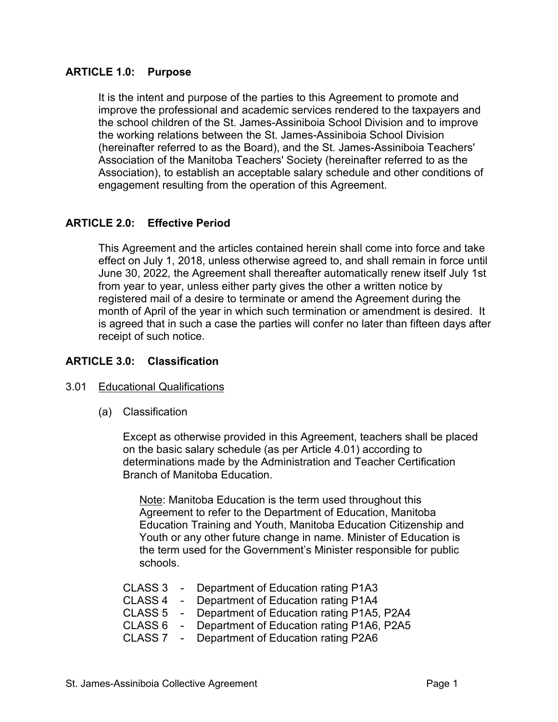## **ARTICLE 1.0: Purpose**

It is the intent and purpose of the parties to this Agreement to promote and improve the professional and academic services rendered to the taxpayers and the school children of the St. James-Assiniboia School Division and to improve the working relations between the St. James-Assiniboia School Division (hereinafter referred to as the Board), and the St. James-Assiniboia Teachers' Association of the Manitoba Teachers' Society (hereinafter referred to as the Association), to establish an acceptable salary schedule and other conditions of engagement resulting from the operation of this Agreement.

# **ARTICLE 2.0: Effective Period**

This Agreement and the articles contained herein shall come into force and take effect on July 1, 2018, unless otherwise agreed to, and shall remain in force until June 30, 2022*,* the Agreement shall thereafter automatically renew itself July 1st from year to year, unless either party gives the other a written notice by registered mail of a desire to terminate or amend the Agreement during the month of April of the year in which such termination or amendment is desired. It is agreed that in such a case the parties will confer no later than fifteen days after receipt of such notice.

## **ARTICLE 3.0: Classification**

## 3.01 Educational Qualifications

(a) Classification

Except as otherwise provided in this Agreement, teachers shall be placed on the basic salary schedule (as per Article 4.01) according to determinations made by the Administration and Teacher Certification Branch of Manitoba Education.

Note: Manitoba Education is the term used throughout this Agreement to refer to the Department of Education, Manitoba Education Training and Youth, Manitoba Education Citizenship and Youth or any other future change in name. Minister of Education is the term used for the Government's Minister responsible for public schools.

|  | CLASS 3 - Department of Education rating P1A3       |
|--|-----------------------------------------------------|
|  | CLASS 4 - Department of Education rating P1A4       |
|  | CLASS 5 - Department of Education rating P1A5, P2A4 |
|  | CLASS 6 - Department of Education rating P1A6, P2A5 |
|  | CLASS 7 - Department of Education rating P2A6       |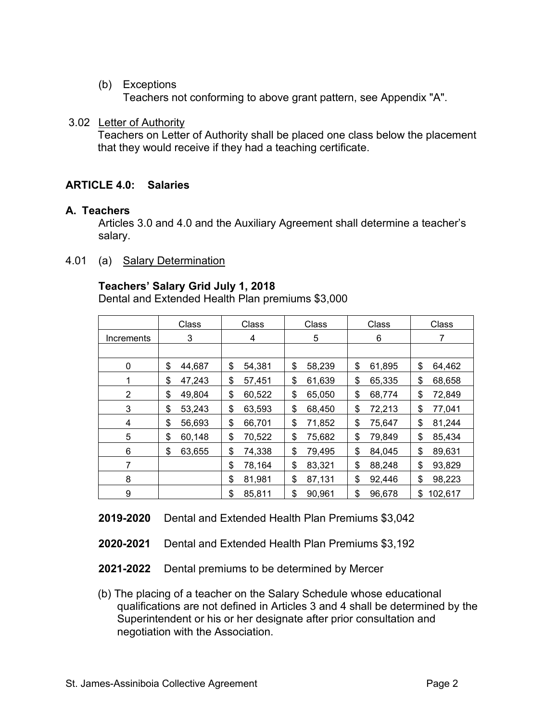(b) Exceptions

Teachers not conforming to above grant pattern, see Appendix "A".

## 3.02 Letter of Authority

Teachers on Letter of Authority shall be placed one class below the placement that they would receive if they had a teaching certificate.

# **ARTICLE 4.0: Salaries**

## **A. Teachers**

Articles 3.0 and 4.0 and the Auxiliary Agreement shall determine a teacher's salary.

4.01 (a) Salary Determination

# **Teachers' Salary Grid July 1, 2018**

Dental and Extended Health Plan premiums \$3,000

|                | Class  | Class        | Class        | Class        | Class         |
|----------------|--------|--------------|--------------|--------------|---------------|
| Increments     | 3      | 4            | 5            | 6            |               |
|                |        |              |              |              |               |
| 0              | \$     | \$           | \$           | \$           | \$            |
|                | 44,687 | 54,381       | 58,239       | 61,895       | 64,462        |
|                | \$     | \$           | \$           | \$           | \$            |
|                | 47,243 | 57,451       | 61,639       | 65,335       | 68,658        |
| $\overline{2}$ | \$     | \$           | 65,050       | \$           | 72,849        |
|                | 49,804 | 60,522       | \$           | 68,774       | \$            |
| 3              | \$     | \$           | \$           | \$           | \$            |
|                | 53,243 | 63,593       | 68,450       | 72,213       | 77,041        |
| 4              | \$     | \$           | \$           | \$           | \$            |
|                | 56,693 | 66,701       | 71,852       | 75,647       | 81,244        |
| 5              | \$     | \$           | \$           | \$           | \$            |
|                | 60,148 | 70,522       | 75,682       | 79,849       | 85,434        |
| 6              | \$     | \$           | \$           | \$           | \$            |
|                | 63,655 | 74,338       | 79,495       | 84,045       | 89,631        |
| $\overline{7}$ |        | \$<br>78,164 | \$<br>83,321 | \$<br>88,248 | \$<br>93,829  |
| 8              |        | \$<br>81,981 | \$<br>87,131 | \$<br>92,446 | \$<br>98,223  |
| 9              |        | \$<br>85,811 | \$<br>90,961 | \$<br>96,678 | 102,617<br>\$ |

**2019-2020** Dental and Extended Health Plan Premiums \$3,042

- **2020-2021** Dental and Extended Health Plan Premiums \$3,192
- **2021-2022** Dental premiums to be determined by Mercer
- (b) The placing of a teacher on the Salary Schedule whose educational qualifications are not defined in Articles 3 and 4 shall be determined by the Superintendent or his or her designate after prior consultation and negotiation with the Association.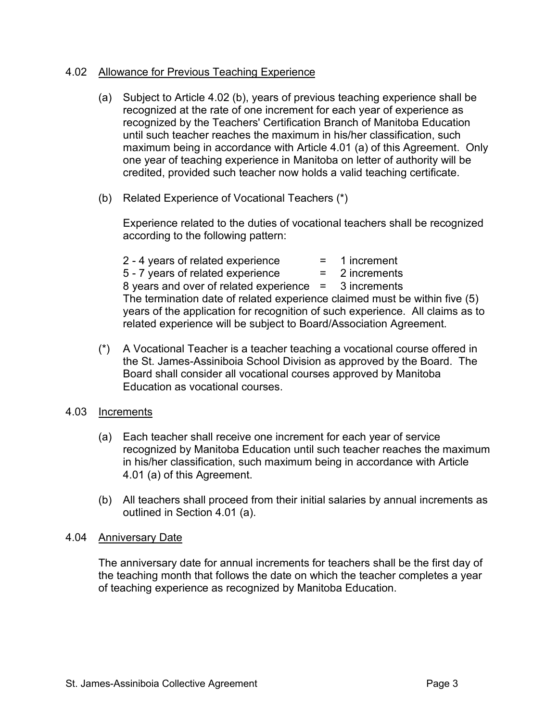## 4.02 Allowance for Previous Teaching Experience

- (a) Subject to Article 4.02 (b), years of previous teaching experience shall be recognized at the rate of one increment for each year of experience as recognized by the Teachers' Certification Branch of Manitoba Education until such teacher reaches the maximum in his/her classification, such maximum being in accordance with Article 4.01 (a) of this Agreement. Only one year of teaching experience in Manitoba on letter of authority will be credited, provided such teacher now holds a valid teaching certificate.
- (b) Related Experience of Vocational Teachers (\*)

Experience related to the duties of vocational teachers shall be recognized according to the following pattern:

 $2 - 4$  years of related experience  $\qquad \qquad = \qquad 1$  increment  $5 - 7$  years of related experience  $\qquad \qquad = \qquad 2$  increments 8 years and over of related experience = 3 increments The termination date of related experience claimed must be within five (5) years of the application for recognition of such experience. All claims as to related experience will be subject to Board/Association Agreement.

(\*) A Vocational Teacher is a teacher teaching a vocational course offered in the St. James-Assiniboia School Division as approved by the Board. The Board shall consider all vocational courses approved by Manitoba Education as vocational courses.

#### 4.03 Increments

- (a) Each teacher shall receive one increment for each year of service recognized by Manitoba Education until such teacher reaches the maximum in his/her classification, such maximum being in accordance with Article 4.01 (a) of this Agreement.
- (b) All teachers shall proceed from their initial salaries by annual increments as outlined in Section 4.01 (a).

#### 4.04 Anniversary Date

The anniversary date for annual increments for teachers shall be the first day of the teaching month that follows the date on which the teacher completes a year of teaching experience as recognized by Manitoba Education.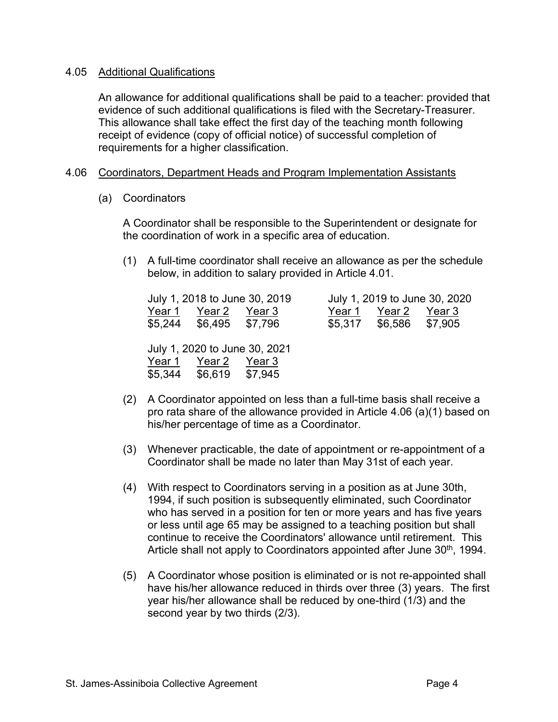#### 4.05 Additional Qualifications

An allowance for additional qualifications shall be paid to a teacher: provided that evidence of such additional qualifications is filed with the Secretary-Treasurer. This allowance shall take effect the first day of the teaching month following receipt of evidence (copy of official notice) of successful completion of requirements for a higher classification.

## 4.06 Coordinators, Department Heads and Program Implementation Assistants

(a) Coordinators

A Coordinator shall be responsible to the Superintendent or designate for the coordination of work in a specific area of education.

(1) A full-time coordinator shall receive an allowance as per the schedule below, in addition to salary provided in Article 4.01.

|        |                         | July 1, 2018 to June 30, 2019 |        |                         | July 1, 2019 to June 30, 2020 |
|--------|-------------------------|-------------------------------|--------|-------------------------|-------------------------------|
| Year 1 | Year 2                  | Year 3                        | Year 1 | Year 2                  | Year 3                        |
|        | \$5,244 \$6,495 \$7,796 |                               |        | \$5,317 \$6,586 \$7,905 |                               |
|        |                         |                               |        |                         |                               |
|        |                         | July 1, 2020 to June 30, 2021 |        |                         |                               |
| Year 1 | Year 2                  | Year 3                        |        |                         |                               |
|        | \$5,344 \$6,619         | \$7,945                       |        |                         |                               |

- (2) A Coordinator appointed on less than a full-time basis shall receive a pro rata share of the allowance provided in Article 4.06 (a)(1) based on his/her percentage of time as a Coordinator.
- (3) Whenever practicable, the date of appointment or re-appointment of a Coordinator shall be made no later than May 31st of each year.
- (4) With respect to Coordinators serving in a position as at June 30th, 1994, if such position is subsequently eliminated, such Coordinator who has served in a position for ten or more years and has five years or less until age 65 may be assigned to a teaching position but shall continue to receive the Coordinators' allowance until retirement. This Article shall not apply to Coordinators appointed after June 30<sup>th</sup>, 1994.
- (5) A Coordinator whose position is eliminated or is not re-appointed shall have his/her allowance reduced in thirds over three (3) years. The first year his/her allowance shall be reduced by one-third (1/3) and the second year by two thirds (2/3).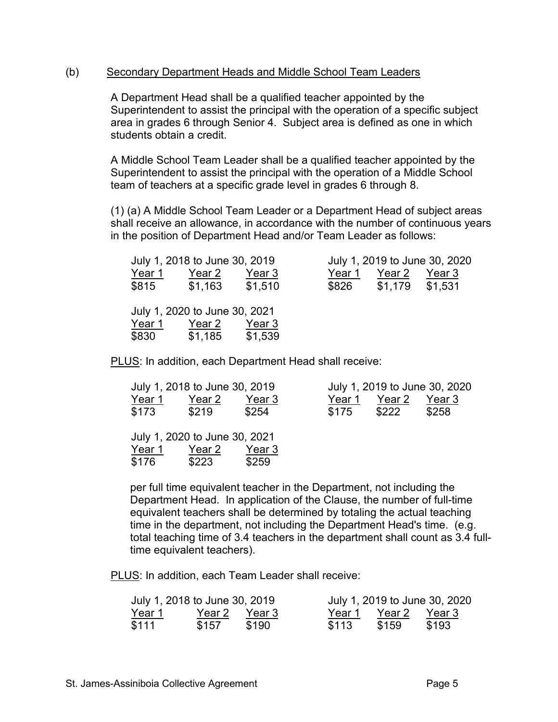#### (b) Secondary Department Heads and Middle School Team Leaders

A Department Head shall be a qualified teacher appointed by the Superintendent to assist the principal with the operation of a specific subject area in grades 6 through Senior 4. Subject area is defined as one in which students obtain a credit.

A Middle School Team Leader shall be a qualified teacher appointed by the Superintendent to assist the principal with the operation of a Middle School team of teachers at a specific grade level in grades 6 through 8.

(1) (a) A Middle School Team Leader or a Department Head of subject areas shall receive an allowance, in accordance with the number of continuous years in the position of Department Head and/or Team Leader as follows:

|               | July 1, 2018 to June 30, 2019 |         |        | July 1, 2019 to June 30, 2020 |        |
|---------------|-------------------------------|---------|--------|-------------------------------|--------|
| Year 1        | Year 2                        | Year 3  | Year 1 | Year 2                        | Year 3 |
| \$815         | \$1,163                       | \$1,510 | \$826  | \$1,179 \$1,531               |        |
|               | July 1, 2020 to June 30, 2021 |         |        |                               |        |
| <u>Year 1</u> | Year 2                        | Year 3  |        |                               |        |
| \$830         | \$1,185                       | \$1,539 |        |                               |        |

PLUS: In addition, each Department Head shall receive:

|        | July 1, 2018 to June 30, 2019 |        |        |        | July 1, 2019 to June 30, 2020 |
|--------|-------------------------------|--------|--------|--------|-------------------------------|
| Year 1 | Year 2                        | Year 3 | Year 1 | Year 2 | Year 3                        |
| \$173  | \$219                         | \$254  | \$175  | \$222  | \$258                         |
|        |                               |        |        |        |                               |
|        | July 1, 2020 to June 30, 2021 |        |        |        |                               |
| Year 1 | Year 2                        | Year 3 |        |        |                               |
| \$176  | \$223                         | \$259  |        |        |                               |

per full time equivalent teacher in the Department, not including the Department Head. In application of the Clause, the number of full-time equivalent teachers shall be determined by totaling the actual teaching time in the department, not including the Department Head's time. (e.g. total teaching time of 3.4 teachers in the department shall count as 3.4 fulltime equivalent teachers).

PLUS: In addition, each Team Leader shall receive:

| July 1, 2018 to June 30, 2019 |        |        |        |        | July 1, 2019 to June 30, 2020 |
|-------------------------------|--------|--------|--------|--------|-------------------------------|
| Year 1                        | Year 2 | Year 3 | Year 1 | Year 2 | Year 3                        |
| \$111                         | \$157  | \$190  | \$113  | \$159  | \$193                         |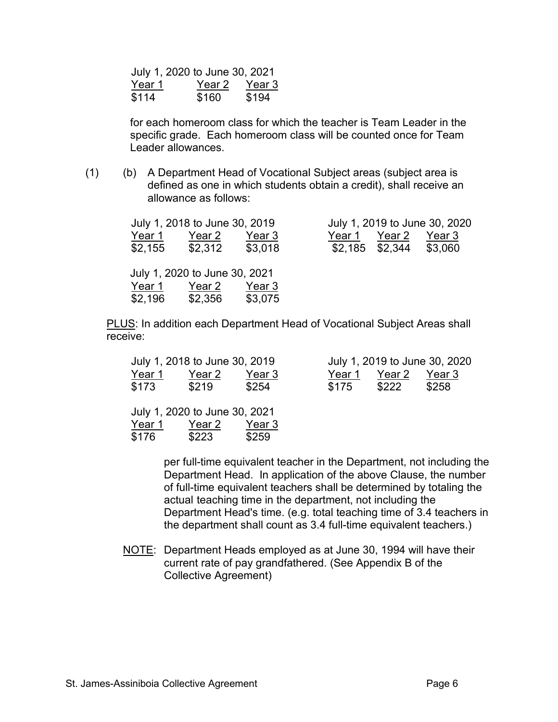|        | July 1, 2020 to June 30, 2021 |        |
|--------|-------------------------------|--------|
| Year 1 | Year 2                        | Year 3 |
| \$114  | \$160                         | \$194  |

for each homeroom class for which the teacher is Team Leader in the specific grade. Each homeroom class will be counted once for Team Leader allowances

(1) (b) A Department Head of Vocational Subject areas (subject area is defined as one in which students obtain a credit), shall receive an allowance as follows:

|                   | July 1, 2018 to June 30, 2019 |                   |        |                                      | July 1, 2019 to June 30, 2020 |
|-------------------|-------------------------------|-------------------|--------|--------------------------------------|-------------------------------|
| Year 1<br>\$2,155 | Year 2<br>\$2,312             | Year 3<br>\$3,018 | Year 1 | Year 2<br>$$2,185$ $$2,344$ $$3,060$ | Year 3                        |
|                   | July 1, 2020 to June 30, 2021 |                   |        |                                      |                               |
| Year 1            | Year 2                        | Year 3            |        |                                      |                               |
| \$2,196           | \$2,356                       | \$3,075           |        |                                      |                               |
|                   |                               |                   |        |                                      |                               |

PLUS: In addition each Department Head of Vocational Subject Areas shall receive:

|        | July 1, 2018 to June 30, 2019 |        |        |        | July 1, 2019 to June 30, 2020 |
|--------|-------------------------------|--------|--------|--------|-------------------------------|
| Year 1 | Year 2                        | Year 3 | Year 1 | Year 2 | Year 3                        |
| \$173  | \$219                         | \$254  | \$175  | \$222  | \$258                         |
|        |                               |        |        |        |                               |
|        | July 1, 2020 to June 30, 2021 |        |        |        |                               |
| Year 1 | Year 2                        | Year 3 |        |        |                               |
| \$176  | \$223                         | \$259  |        |        |                               |
|        |                               |        |        |        |                               |

per full-time equivalent teacher in the Department, not including the Department Head. In application of the above Clause, the number of full-time equivalent teachers shall be determined by totaling the actual teaching time in the department, not including the Department Head's time. (e.g. total teaching time of 3.4 teachers in the department shall count as 3.4 full-time equivalent teachers.)

NOTE: Department Heads employed as at June 30, 1994 will have their current rate of pay grandfathered. (See Appendix B of the Collective Agreement)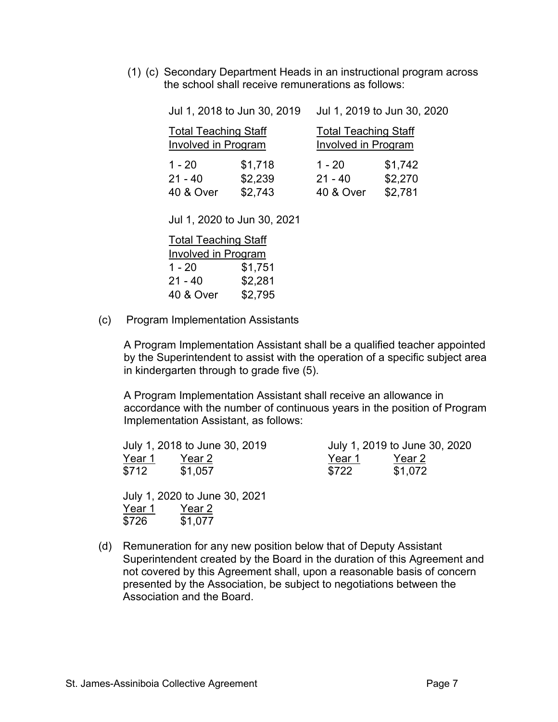(1) (c) Secondary Department Heads in an instructional program across the school shall receive remunerations as follows:

|                                                           | Jul 1, 2018 to Jun 30, 2019 | Jul 1, 2019 to Jun 30, 2020                               |         |  |
|-----------------------------------------------------------|-----------------------------|-----------------------------------------------------------|---------|--|
| <b>Total Teaching Staff</b><br><b>Involved in Program</b> |                             | <b>Total Teaching Staff</b><br><b>Involved in Program</b> |         |  |
| $1 - 20$                                                  | \$1,718                     | $1 - 20$                                                  | \$1,742 |  |
| $21 - 40$                                                 | \$2,239                     | $21 - 40$                                                 | \$2,270 |  |
| <b>40 &amp; Over</b>                                      | \$2,743                     | <b>40 &amp; Over</b>                                      | \$2,781 |  |

Jul 1, 2020 to Jun 30, 2021

| <b>Total Teaching Staff</b> |         |  |  |  |  |  |  |
|-----------------------------|---------|--|--|--|--|--|--|
| <b>Involved in Program</b>  |         |  |  |  |  |  |  |
| $1 - 20$                    | \$1,751 |  |  |  |  |  |  |
| $21 - 40$                   | \$2,281 |  |  |  |  |  |  |
| <b>40 &amp; Over</b>        | \$2,795 |  |  |  |  |  |  |

(c) Program Implementation Assistants

A Program Implementation Assistant shall be a qualified teacher appointed by the Superintendent to assist with the operation of a specific subject area in kindergarten through to grade five (5).

A Program Implementation Assistant shall receive an allowance in accordance with the number of continuous years in the position of Program Implementation Assistant, as follows:

|        | July 1, 2018 to June 30, 2019 |        | July 1, 2019 to June 30, 2020 |  |
|--------|-------------------------------|--------|-------------------------------|--|
| Year 1 | Year 2                        | Year 1 | Year 2                        |  |
| \$712  | \$1,057                       | \$722  | \$1,072                       |  |

July 1, 2020 to June 30, 2021 Year 1 Year 2 \$726 \$1,077

(d) Remuneration for any new position below that of Deputy Assistant Superintendent created by the Board in the duration of this Agreement and not covered by this Agreement shall, upon a reasonable basis of concern presented by the Association, be subject to negotiations between the Association and the Board.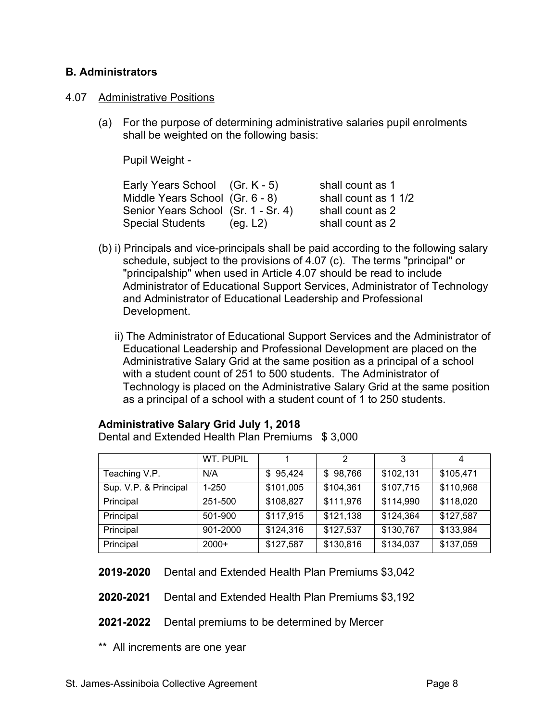## **B. Administrators**

#### 4.07 Administrative Positions

(a) For the purpose of determining administrative salaries pupil enrolments shall be weighted on the following basis:

Pupil Weight -

| Early Years School (Gr. K - 5)      |          | shall count as 1     |
|-------------------------------------|----------|----------------------|
| Middle Years School (Gr. 6 - 8)     |          | shall count as 1 1/2 |
| Senior Years School (Sr. 1 - Sr. 4) |          | shall count as 2     |
| Special Students                    | (eg. L2) | shall count as 2     |

- (b) i) Principals and vice-principals shall be paid according to the following salary schedule, subject to the provisions of 4.07 (c). The terms "principal" or "principalship" when used in Article 4.07 should be read to include Administrator of Educational Support Services, Administrator of Technology and Administrator of Educational Leadership and Professional Development.
	- ii) The Administrator of Educational Support Services and the Administrator of Educational Leadership and Professional Development are placed on the Administrative Salary Grid at the same position as a principal of a school with a student count of 251 to 500 students. The Administrator of Technology is placed on the Administrative Salary Grid at the same position as a principal of a school with a student count of 1 to 250 students.

## **Administrative Salary Grid July 1, 2018**

Dental and Extended Health Plan Premiums \$ 3,000

|                       | WT. PUPIL |           | 2         | 3         |           |
|-----------------------|-----------|-----------|-----------|-----------|-----------|
| Teaching V.P.         | N/A       | \$95,424  | \$98,766  | \$102,131 | \$105,471 |
| Sup. V.P. & Principal | $1 - 250$ | \$101,005 | \$104,361 | \$107,715 | \$110,968 |
| Principal             | 251-500   | \$108,827 | \$111,976 | \$114,990 | \$118,020 |
| Principal             | 501-900   | \$117,915 | \$121,138 | \$124,364 | \$127,587 |
| Principal             | 901-2000  | \$124,316 | \$127,537 | \$130,767 | \$133,984 |
| Principal             | $2000+$   | \$127,587 | \$130,816 | \$134,037 | \$137,059 |

**2019-2020** Dental and Extended Health Plan Premiums \$3,042

- **2020-2021** Dental and Extended Health Plan Premiums \$3,192
- **2021-2022** Dental premiums to be determined by Mercer
- \*\* All increments are one year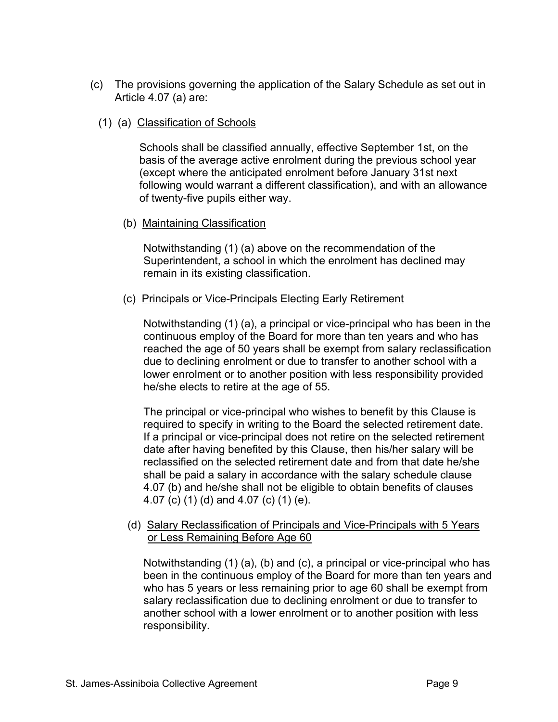- (c) The provisions governing the application of the Salary Schedule as set out in Article 4.07 (a) are:
	- (1) (a) Classification of Schools

Schools shall be classified annually, effective September 1st, on the basis of the average active enrolment during the previous school year (except where the anticipated enrolment before January 31st next following would warrant a different classification), and with an allowance of twenty-five pupils either way.

(b) Maintaining Classification

Notwithstanding (1) (a) above on the recommendation of the Superintendent, a school in which the enrolment has declined may remain in its existing classification.

(c) Principals or Vice-Principals Electing Early Retirement

Notwithstanding (1) (a), a principal or vice-principal who has been in the continuous employ of the Board for more than ten years and who has reached the age of 50 years shall be exempt from salary reclassification due to declining enrolment or due to transfer to another school with a lower enrolment or to another position with less responsibility provided he/she elects to retire at the age of 55.

The principal or vice-principal who wishes to benefit by this Clause is required to specify in writing to the Board the selected retirement date. If a principal or vice-principal does not retire on the selected retirement date after having benefited by this Clause, then his/her salary will be reclassified on the selected retirement date and from that date he/she shall be paid a salary in accordance with the salary schedule clause 4.07 (b) and he/she shall not be eligible to obtain benefits of clauses 4.07 (c) (1) (d) and 4.07 (c) (1) (e).

(d) Salary Reclassification of Principals and Vice-Principals with 5 Years or Less Remaining Before Age 60

Notwithstanding (1) (a), (b) and (c), a principal or vice-principal who has been in the continuous employ of the Board for more than ten years and who has 5 years or less remaining prior to age 60 shall be exempt from salary reclassification due to declining enrolment or due to transfer to another school with a lower enrolment or to another position with less responsibility.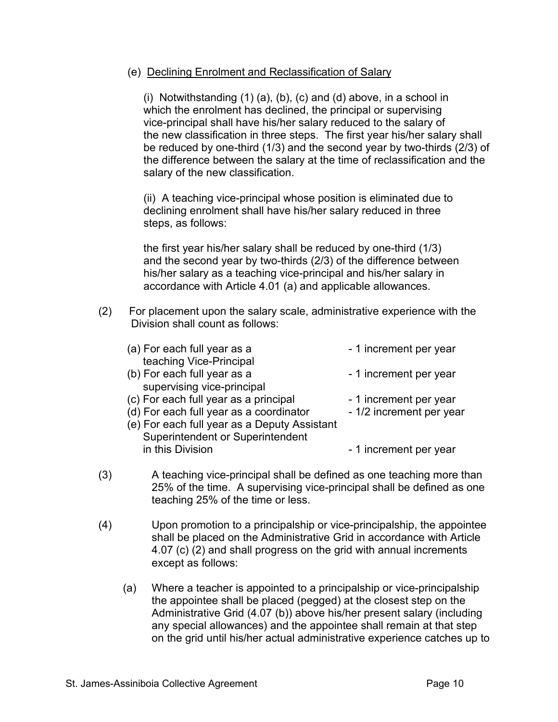## (e) Declining Enrolment and Reclassification of Salary

(i) Notwithstanding (1) (a), (b), (c) and (d) above, in a school in which the enrolment has declined, the principal or supervising vice-principal shall have his/her salary reduced to the salary of the new classification in three steps. The first year his/her salary shall be reduced by one-third (1/3) and the second year by two-thirds (2/3) of the difference between the salary at the time of reclassification and the salary of the new classification.

(ii) A teaching vice-principal whose position is eliminated due to declining enrolment shall have his/her salary reduced in three steps, as follows:

the first year his/her salary shall be reduced by one-third (1/3) and the second year by two-thirds (2/3) of the difference between his/her salary as a teaching vice-principal and his/her salary in accordance with Article 4.01 (a) and applicable allowances.

(2) For placement upon the salary scale, administrative experience with the Division shall count as follows:

| (a) For each full year as a                                         | - 1 increment per year   |
|---------------------------------------------------------------------|--------------------------|
| teaching Vice-Principal                                             |                          |
| (b) For each full year as a                                         | - 1 increment per year   |
| supervising vice-principal                                          |                          |
| (c) For each full year as a principal                               | - 1 increment per year   |
| (d) For each full year as a coordinator                             | - 1/2 increment per year |
| (e) For each full year as a Deputy Assistant                        |                          |
| <b>Superintendent or Superintendent</b>                             |                          |
| in this Division                                                    | - 1 increment per year   |
|                                                                     |                          |
| A togobing vice principal aboll be defined as ene togobing mere the |                          |

- (3) A teaching vice-principal shall be defined as one teaching more than 25% of the time. A supervising vice-principal shall be defined as one teaching 25% of the time or less.
- (4) Upon promotion to a principalship or vice-principalship, the appointee shall be placed on the Administrative Grid in accordance with Article 4.07 (c) (2) and shall progress on the grid with annual increments except as follows:
	- (a) Where a teacher is appointed to a principalship or vice-principalship the appointee shall be placed (pegged) at the closest step on the Administrative Grid (4.07 (b)) above his/her present salary (including any special allowances) and the appointee shall remain at that step on the grid until his/her actual administrative experience catches up to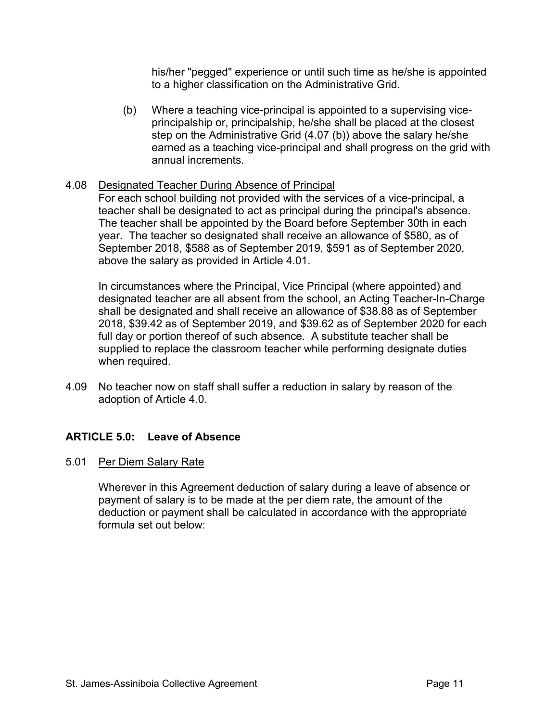his/her "pegged" experience or until such time as he/she is appointed to a higher classification on the Administrative Grid.

(b) Where a teaching vice-principal is appointed to a supervising viceprincipalship or, principalship, he/she shall be placed at the closest step on the Administrative Grid (4.07 (b)) above the salary he/she earned as a teaching vice-principal and shall progress on the grid with annual increments.

## 4.08 Designated Teacher During Absence of Principal

For each school building not provided with the services of a vice-principal, a teacher shall be designated to act as principal during the principal's absence. The teacher shall be appointed by the Board before September 30th in each year. The teacher so designated shall receive an allowance of \$580, as of September 2018, \$588 as of September 2019, \$591 as of September 2020, above the salary as provided in Article 4.01.

In circumstances where the Principal, Vice Principal (where appointed) and designated teacher are all absent from the school, an Acting Teacher-In-Charge shall be designated and shall receive an allowance of \$38.88 as of September 2018, \$39.42 as of September 2019, and \$39.62 as of September 2020 for each full day or portion thereof of such absence. A substitute teacher shall be supplied to replace the classroom teacher while performing designate duties when required.

4.09 No teacher now on staff shall suffer a reduction in salary by reason of the adoption of Article 4.0.

# **ARTICLE 5.0: Leave of Absence**

## 5.01 Per Diem Salary Rate

Wherever in this Agreement deduction of salary during a leave of absence or payment of salary is to be made at the per diem rate, the amount of the deduction or payment shall be calculated in accordance with the appropriate formula set out below: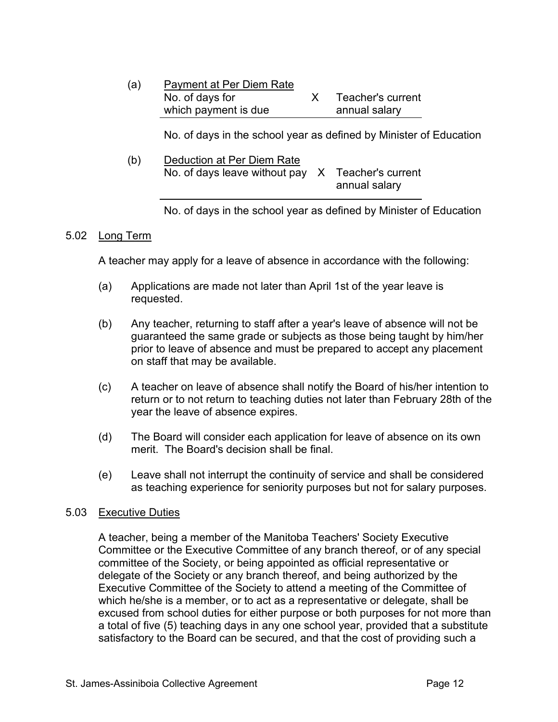| (a) | Payment at Per Diem Rate |                   |
|-----|--------------------------|-------------------|
|     | No. of days for          | Teacher's current |
|     | which payment is due     | annual salary     |

No. of days in the school year as defined by Minister of Education

| (b) | Deduction at Per Diem Rate                        |               |
|-----|---------------------------------------------------|---------------|
|     | No. of days leave without pay X Teacher's current |               |
|     |                                                   | annual salary |

No. of days in the school year as defined by Minister of Education

#### 5.02 Long Term

A teacher may apply for a leave of absence in accordance with the following:

- (a) Applications are made not later than April 1st of the year leave is requested.
- (b) Any teacher, returning to staff after a year's leave of absence will not be guaranteed the same grade or subjects as those being taught by him/her prior to leave of absence and must be prepared to accept any placement on staff that may be available.
- (c) A teacher on leave of absence shall notify the Board of his/her intention to return or to not return to teaching duties not later than February 28th of the year the leave of absence expires.
- (d) The Board will consider each application for leave of absence on its own merit. The Board's decision shall be final.
- (e) Leave shall not interrupt the continuity of service and shall be considered as teaching experience for seniority purposes but not for salary purposes.

#### 5.03 Executive Duties

A teacher, being a member of the Manitoba Teachers' Society Executive Committee or the Executive Committee of any branch thereof, or of any special committee of the Society, or being appointed as official representative or delegate of the Society or any branch thereof, and being authorized by the Executive Committee of the Society to attend a meeting of the Committee of which he/she is a member, or to act as a representative or delegate, shall be excused from school duties for either purpose or both purposes for not more than a total of five (5) teaching days in any one school year, provided that a substitute satisfactory to the Board can be secured, and that the cost of providing such a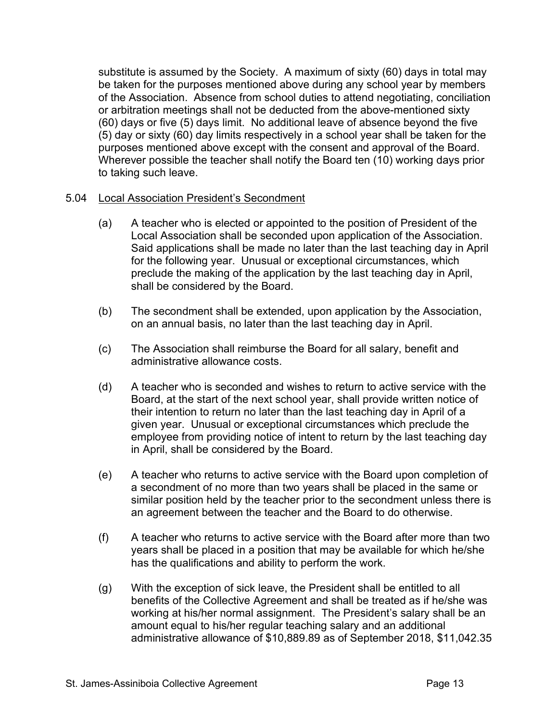substitute is assumed by the Society. A maximum of sixty (60) days in total may be taken for the purposes mentioned above during any school year by members of the Association. Absence from school duties to attend negotiating, conciliation or arbitration meetings shall not be deducted from the above-mentioned sixty (60) days or five (5) days limit. No additional leave of absence beyond the five (5) day or sixty (60) day limits respectively in a school year shall be taken for the purposes mentioned above except with the consent and approval of the Board. Wherever possible the teacher shall notify the Board ten (10) working days prior to taking such leave.

## 5.04 Local Association President's Secondment

- (a) A teacher who is elected or appointed to the position of President of the Local Association shall be seconded upon application of the Association. Said applications shall be made no later than the last teaching day in April for the following year. Unusual or exceptional circumstances, which preclude the making of the application by the last teaching day in April, shall be considered by the Board.
- (b) The secondment shall be extended, upon application by the Association, on an annual basis, no later than the last teaching day in April.
- (c) The Association shall reimburse the Board for all salary, benefit and administrative allowance costs.
- (d) A teacher who is seconded and wishes to return to active service with the Board, at the start of the next school year, shall provide written notice of their intention to return no later than the last teaching day in April of a given year. Unusual or exceptional circumstances which preclude the employee from providing notice of intent to return by the last teaching day in April, shall be considered by the Board.
- (e) A teacher who returns to active service with the Board upon completion of a secondment of no more than two years shall be placed in the same or similar position held by the teacher prior to the secondment unless there is an agreement between the teacher and the Board to do otherwise.
- (f) A teacher who returns to active service with the Board after more than two years shall be placed in a position that may be available for which he/she has the qualifications and ability to perform the work.
- (g) With the exception of sick leave, the President shall be entitled to all benefits of the Collective Agreement and shall be treated as if he/she was working at his/her normal assignment. The President's salary shall be an amount equal to his/her regular teaching salary and an additional administrative allowance of \$10,889.89 as of September 2018, \$11,042.35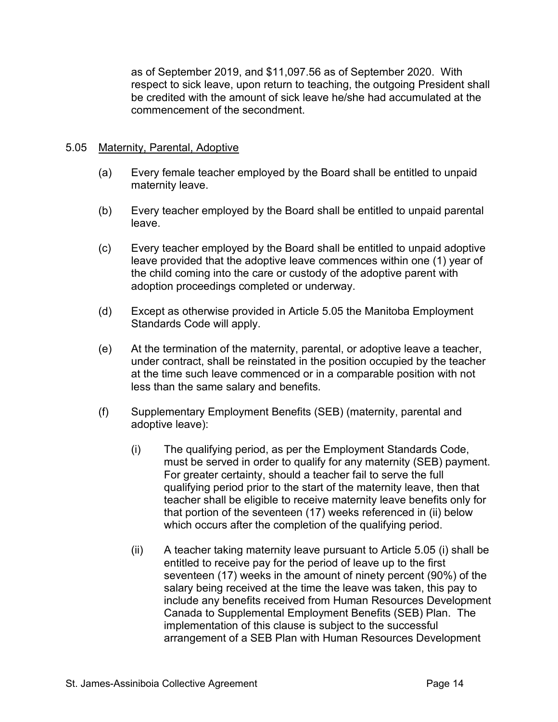as of September 2019, and \$11,097.56 as of September 2020. With respect to sick leave, upon return to teaching, the outgoing President shall be credited with the amount of sick leave he/she had accumulated at the commencement of the secondment.

## 5.05 Maternity, Parental, Adoptive

- (a) Every female teacher employed by the Board shall be entitled to unpaid maternity leave.
- (b) Every teacher employed by the Board shall be entitled to unpaid parental leave.
- (c) Every teacher employed by the Board shall be entitled to unpaid adoptive leave provided that the adoptive leave commences within one (1) year of the child coming into the care or custody of the adoptive parent with adoption proceedings completed or underway.
- (d) Except as otherwise provided in Article 5.05 the Manitoba Employment Standards Code will apply.
- (e) At the termination of the maternity, parental, or adoptive leave a teacher, under contract, shall be reinstated in the position occupied by the teacher at the time such leave commenced or in a comparable position with not less than the same salary and benefits.
- (f) Supplementary Employment Benefits (SEB) (maternity, parental and adoptive leave):
	- (i) The qualifying period, as per the Employment Standards Code, must be served in order to qualify for any maternity (SEB) payment. For greater certainty, should a teacher fail to serve the full qualifying period prior to the start of the maternity leave, then that teacher shall be eligible to receive maternity leave benefits only for that portion of the seventeen (17) weeks referenced in (ii) below which occurs after the completion of the qualifying period.
	- (ii) A teacher taking maternity leave pursuant to Article 5.05 (i) shall be entitled to receive pay for the period of leave up to the first seventeen (17) weeks in the amount of ninety percent (90%) of the salary being received at the time the leave was taken, this pay to include any benefits received from Human Resources Development Canada to Supplemental Employment Benefits (SEB) Plan. The implementation of this clause is subject to the successful arrangement of a SEB Plan with Human Resources Development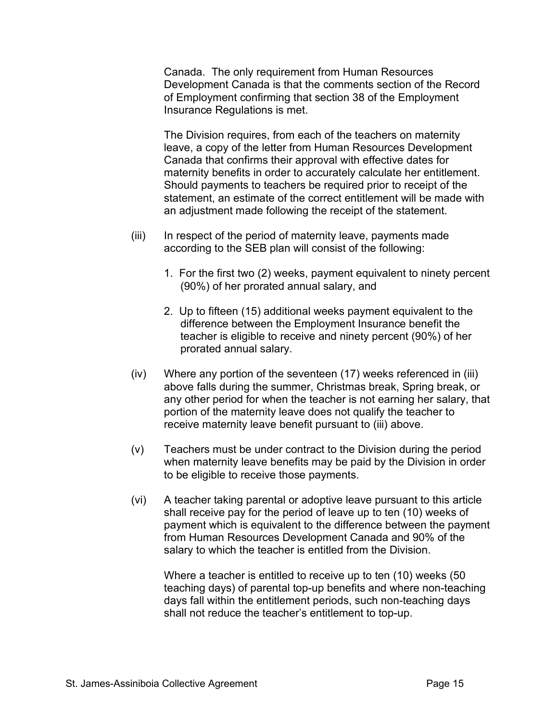Canada. The only requirement from Human Resources Development Canada is that the comments section of the Record of Employment confirming that section 38 of the Employment Insurance Regulations is met.

The Division requires, from each of the teachers on maternity leave, a copy of the letter from Human Resources Development Canada that confirms their approval with effective dates for maternity benefits in order to accurately calculate her entitlement. Should payments to teachers be required prior to receipt of the statement, an estimate of the correct entitlement will be made with an adjustment made following the receipt of the statement.

- (iii) In respect of the period of maternity leave, payments made according to the SEB plan will consist of the following:
	- 1. For the first two (2) weeks, payment equivalent to ninety percent (90%) of her prorated annual salary, and
	- 2. Up to fifteen (15) additional weeks payment equivalent to the difference between the Employment Insurance benefit the teacher is eligible to receive and ninety percent (90%) of her prorated annual salary.
- (iv) Where any portion of the seventeen (17) weeks referenced in (iii) above falls during the summer, Christmas break, Spring break, or any other period for when the teacher is not earning her salary, that portion of the maternity leave does not qualify the teacher to receive maternity leave benefit pursuant to (iii) above.
- (v) Teachers must be under contract to the Division during the period when maternity leave benefits may be paid by the Division in order to be eligible to receive those payments.
- (vi) A teacher taking parental or adoptive leave pursuant to this article shall receive pay for the period of leave up to ten (10) weeks of payment which is equivalent to the difference between the payment from Human Resources Development Canada and 90% of the salary to which the teacher is entitled from the Division.

Where a teacher is entitled to receive up to ten (10) weeks (50 teaching days) of parental top-up benefits and where non-teaching days fall within the entitlement periods, such non-teaching days shall not reduce the teacher's entitlement to top-up.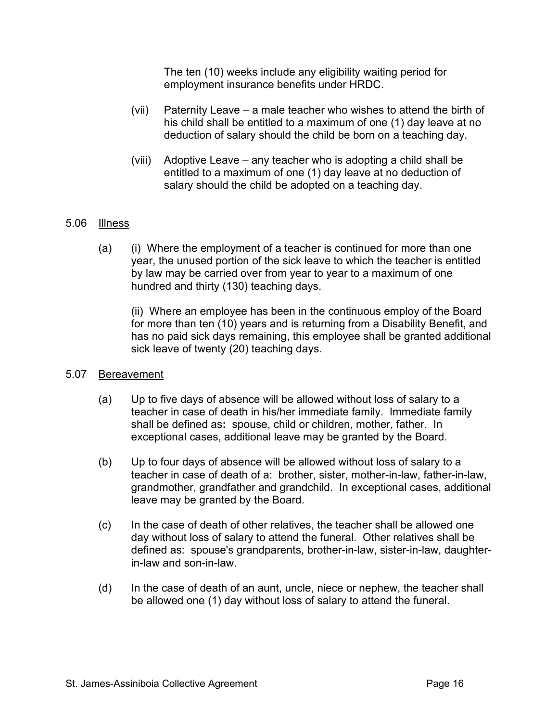The ten (10) weeks include any eligibility waiting period for employment insurance benefits under HRDC.

- (vii) Paternity Leave a male teacher who wishes to attend the birth of his child shall be entitled to a maximum of one (1) day leave at no deduction of salary should the child be born on a teaching day.
- (viii) Adoptive Leave any teacher who is adopting a child shall be entitled to a maximum of one (1) day leave at no deduction of salary should the child be adopted on a teaching day.

## 5.06 Illness

(a) (i) Where the employment of a teacher is continued for more than one year, the unused portion of the sick leave to which the teacher is entitled by law may be carried over from year to year to a maximum of one hundred and thirty (130) teaching days.

(ii) Where an employee has been in the continuous employ of the Board for more than ten (10) years and is returning from a Disability Benefit, and has no paid sick days remaining, this employee shall be granted additional sick leave of twenty (20) teaching days.

#### 5.07 Bereavement

- (a) Up to five days of absence will be allowed without loss of salary to a teacher in case of death in his/her immediate family. Immediate family shall be defined as**:** spouse, child or children, mother, father. In exceptional cases, additional leave may be granted by the Board.
- (b) Up to four days of absence will be allowed without loss of salary to a teacher in case of death of a: brother, sister, mother-in-law, father-in-law, grandmother, grandfather and grandchild. In exceptional cases, additional leave may be granted by the Board.
- (c) In the case of death of other relatives, the teacher shall be allowed one day without loss of salary to attend the funeral. Other relatives shall be defined as: spouse's grandparents, brother-in-law, sister-in-law, daughterin-law and son-in-law.
- (d) In the case of death of an aunt, uncle, niece or nephew, the teacher shall be allowed one (1) day without loss of salary to attend the funeral.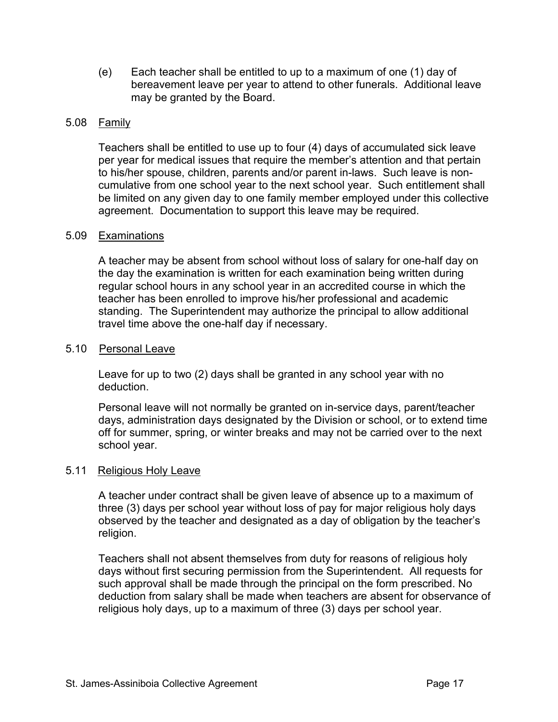(e) Each teacher shall be entitled to up to a maximum of one (1) day of bereavement leave per year to attend to other funerals. Additional leave may be granted by the Board.

#### 5.08 Family

Teachers shall be entitled to use up to four (4) days of accumulated sick leave per year for medical issues that require the member's attention and that pertain to his/her spouse, children, parents and/or parent in-laws. Such leave is noncumulative from one school year to the next school year. Such entitlement shall be limited on any given day to one family member employed under this collective agreement. Documentation to support this leave may be required.

#### 5.09 Examinations

A teacher may be absent from school without loss of salary for one-half day on the day the examination is written for each examination being written during regular school hours in any school year in an accredited course in which the teacher has been enrolled to improve his/her professional and academic standing. The Superintendent may authorize the principal to allow additional travel time above the one-half day if necessary.

#### 5.10 Personal Leave

Leave for up to two (2) days shall be granted in any school year with no deduction.

Personal leave will not normally be granted on in-service days, parent/teacher days, administration days designated by the Division or school, or to extend time off for summer, spring, or winter breaks and may not be carried over to the next school year.

#### 5.11 Religious Holy Leave

A teacher under contract shall be given leave of absence up to a maximum of three (3) days per school year without loss of pay for major religious holy days observed by the teacher and designated as a day of obligation by the teacher's religion.

Teachers shall not absent themselves from duty for reasons of religious holy days without first securing permission from the Superintendent. All requests for such approval shall be made through the principal on the form prescribed. No deduction from salary shall be made when teachers are absent for observance of religious holy days, up to a maximum of three (3) days per school year.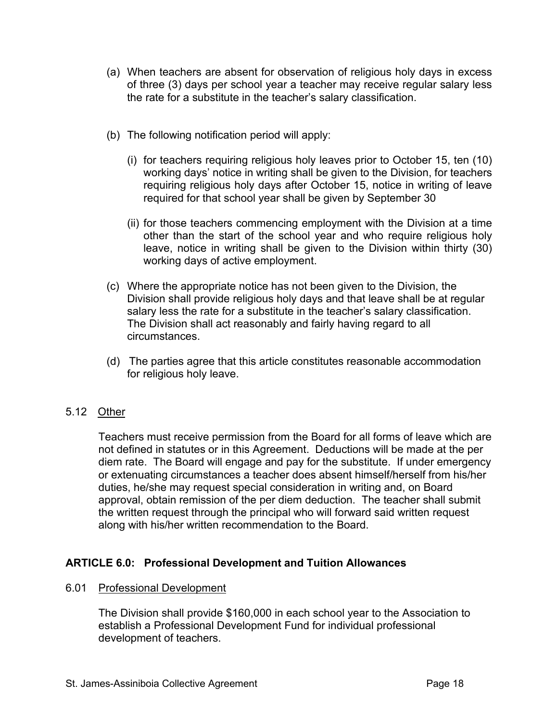- (a) When teachers are absent for observation of religious holy days in excess of three (3) days per school year a teacher may receive regular salary less the rate for a substitute in the teacher's salary classification.
- (b) The following notification period will apply:
	- (i) for teachers requiring religious holy leaves prior to October 15, ten (10) working days' notice in writing shall be given to the Division, for teachers requiring religious holy days after October 15, notice in writing of leave required for that school year shall be given by September 30
	- (ii) for those teachers commencing employment with the Division at a time other than the start of the school year and who require religious holy leave, notice in writing shall be given to the Division within thirty (30) working days of active employment.
- (c) Where the appropriate notice has not been given to the Division, the Division shall provide religious holy days and that leave shall be at regular salary less the rate for a substitute in the teacher's salary classification. The Division shall act reasonably and fairly having regard to all circumstances.
- (d) The parties agree that this article constitutes reasonable accommodation for religious holy leave.

## 5.12 Other

Teachers must receive permission from the Board for all forms of leave which are not defined in statutes or in this Agreement. Deductions will be made at the per diem rate. The Board will engage and pay for the substitute. If under emergency or extenuating circumstances a teacher does absent himself/herself from his/her duties, he/she may request special consideration in writing and, on Board approval, obtain remission of the per diem deduction. The teacher shall submit the written request through the principal who will forward said written request along with his/her written recommendation to the Board.

# **ARTICLE 6.0: Professional Development and Tuition Allowances**

#### 6.01 Professional Development

The Division shall provide \$160,000 in each school year to the Association to establish a Professional Development Fund for individual professional development of teachers.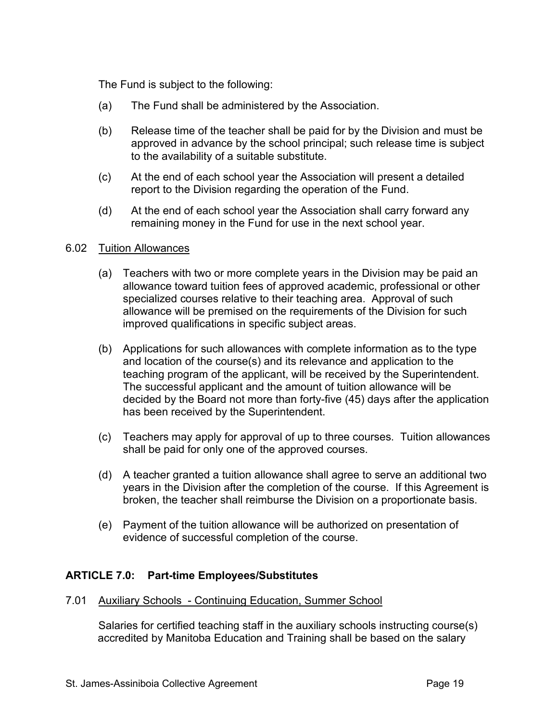The Fund is subject to the following:

- (a) The Fund shall be administered by the Association.
- (b) Release time of the teacher shall be paid for by the Division and must be approved in advance by the school principal; such release time is subject to the availability of a suitable substitute.
- (c) At the end of each school year the Association will present a detailed report to the Division regarding the operation of the Fund.
- (d) At the end of each school year the Association shall carry forward any remaining money in the Fund for use in the next school year.

#### 6.02 Tuition Allowances

- (a) Teachers with two or more complete years in the Division may be paid an allowance toward tuition fees of approved academic, professional or other specialized courses relative to their teaching area. Approval of such allowance will be premised on the requirements of the Division for such improved qualifications in specific subject areas.
- (b) Applications for such allowances with complete information as to the type and location of the course(s) and its relevance and application to the teaching program of the applicant, will be received by the Superintendent. The successful applicant and the amount of tuition allowance will be decided by the Board not more than forty-five (45) days after the application has been received by the Superintendent.
- (c) Teachers may apply for approval of up to three courses. Tuition allowances shall be paid for only one of the approved courses.
- (d) A teacher granted a tuition allowance shall agree to serve an additional two years in the Division after the completion of the course. If this Agreement is broken, the teacher shall reimburse the Division on a proportionate basis.
- (e) Payment of the tuition allowance will be authorized on presentation of evidence of successful completion of the course.

## **ARTICLE 7.0: Part-time Employees/Substitutes**

7.01 Auxiliary Schools - Continuing Education, Summer School

Salaries for certified teaching staff in the auxiliary schools instructing course(s) accredited by Manitoba Education and Training shall be based on the salary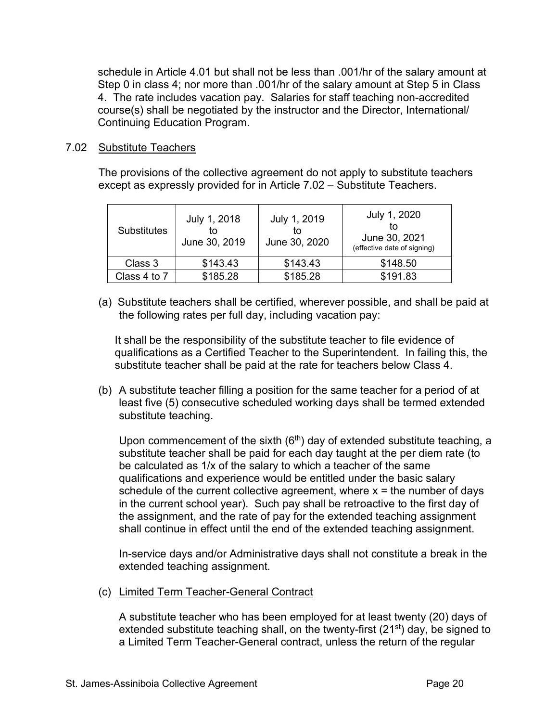schedule in Article 4.01 but shall not be less than .001/hr of the salary amount at Step 0 in class 4; nor more than .001/hr of the salary amount at Step 5 in Class 4. The rate includes vacation pay. Salaries for staff teaching non-accredited course(s) shall be negotiated by the instructor and the Director, International/ Continuing Education Program.

## 7.02 Substitute Teachers

The provisions of the collective agreement do not apply to substitute teachers except as expressly provided for in Article 7.02 – Substitute Teachers.

| July 1, 2018<br><b>Substitutes</b><br>tο<br>June 30, 2019 |          | July 1, 2019<br>tο<br>June 30, 2020 | July 1, 2020<br>June 30, 2021<br>(effective date of signing) |
|-----------------------------------------------------------|----------|-------------------------------------|--------------------------------------------------------------|
| Class 3                                                   | \$143.43 | \$143.43                            | \$148.50                                                     |
| Class 4 to 7                                              | \$185.28 | \$185.28                            | \$191.83                                                     |

(a) Substitute teachers shall be certified, wherever possible, and shall be paid at the following rates per full day, including vacation pay:

It shall be the responsibility of the substitute teacher to file evidence of qualifications as a Certified Teacher to the Superintendent. In failing this, the substitute teacher shall be paid at the rate for teachers below Class 4.

(b) A substitute teacher filling a position for the same teacher for a period of at least five (5) consecutive scheduled working days shall be termed extended substitute teaching.

Upon commencement of the sixth  $(6<sup>th</sup>)$  day of extended substitute teaching, a substitute teacher shall be paid for each day taught at the per diem rate (to be calculated as 1/x of the salary to which a teacher of the same qualifications and experience would be entitled under the basic salary schedule of the current collective agreement, where  $x =$  the number of days in the current school year). Such pay shall be retroactive to the first day of the assignment, and the rate of pay for the extended teaching assignment shall continue in effect until the end of the extended teaching assignment.

In-service days and/or Administrative days shall not constitute a break in the extended teaching assignment.

(c) Limited Term Teacher-General Contract

A substitute teacher who has been employed for at least twenty (20) days of extended substitute teaching shall, on the twenty-first (21st) day, be signed to a Limited Term Teacher-General contract, unless the return of the regular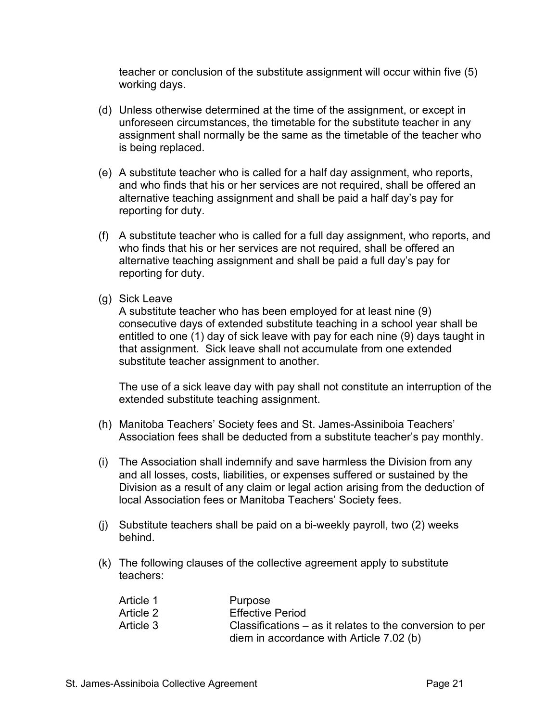teacher or conclusion of the substitute assignment will occur within five (5) working days.

- (d) Unless otherwise determined at the time of the assignment, or except in unforeseen circumstances, the timetable for the substitute teacher in any assignment shall normally be the same as the timetable of the teacher who is being replaced.
- (e) A substitute teacher who is called for a half day assignment, who reports, and who finds that his or her services are not required, shall be offered an alternative teaching assignment and shall be paid a half day's pay for reporting for duty.
- (f) A substitute teacher who is called for a full day assignment, who reports, and who finds that his or her services are not required, shall be offered an alternative teaching assignment and shall be paid a full day's pay for reporting for duty.
- (g) Sick Leave

A substitute teacher who has been employed for at least nine (9) consecutive days of extended substitute teaching in a school year shall be entitled to one (1) day of sick leave with pay for each nine (9) days taught in that assignment. Sick leave shall not accumulate from one extended substitute teacher assignment to another.

The use of a sick leave day with pay shall not constitute an interruption of the extended substitute teaching assignment.

- (h) Manitoba Teachers' Society fees and St. James-Assiniboia Teachers' Association fees shall be deducted from a substitute teacher's pay monthly.
- (i) The Association shall indemnify and save harmless the Division from any and all losses, costs, liabilities, or expenses suffered or sustained by the Division as a result of any claim or legal action arising from the deduction of local Association fees or Manitoba Teachers' Society fees.
- (j) Substitute teachers shall be paid on a bi-weekly payroll, two (2) weeks behind.
- (k) The following clauses of the collective agreement apply to substitute teachers:

| Article 1 | Purpose                                                    |
|-----------|------------------------------------------------------------|
| Article 2 | <b>Effective Period</b>                                    |
| Article 3 | Classifications $-$ as it relates to the conversion to per |
|           | diem in accordance with Article 7.02 (b)                   |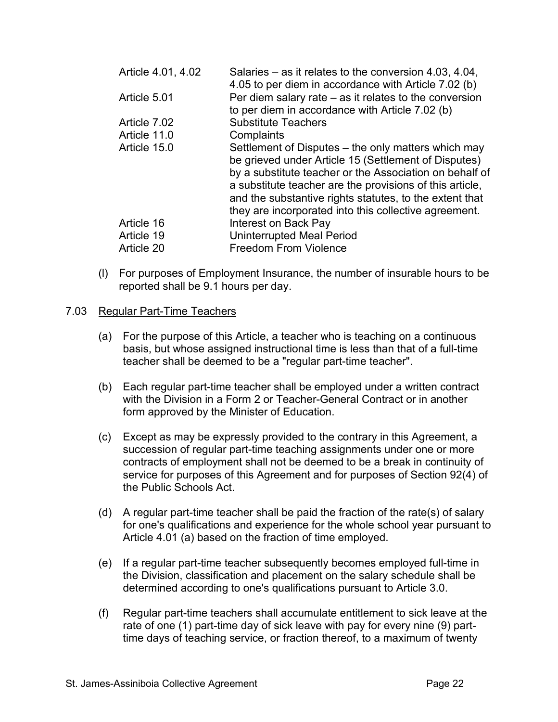| Article 4.01, 4.02 | Salaries – as it relates to the conversion 4.03, 4.04,<br>4.05 to per diem in accordance with Article 7.02 (b)                                                                                                                                                                                                                                         |
|--------------------|--------------------------------------------------------------------------------------------------------------------------------------------------------------------------------------------------------------------------------------------------------------------------------------------------------------------------------------------------------|
| Article 5.01       | Per diem salary rate $-$ as it relates to the conversion<br>to per diem in accordance with Article 7.02 (b)                                                                                                                                                                                                                                            |
| Article 7.02       | <b>Substitute Teachers</b>                                                                                                                                                                                                                                                                                                                             |
| Article 11.0       | Complaints                                                                                                                                                                                                                                                                                                                                             |
| Article 15.0       | Settlement of Disputes – the only matters which may<br>be grieved under Article 15 (Settlement of Disputes)<br>by a substitute teacher or the Association on behalf of<br>a substitute teacher are the provisions of this article,<br>and the substantive rights statutes, to the extent that<br>they are incorporated into this collective agreement. |
| Article 16         | Interest on Back Pay                                                                                                                                                                                                                                                                                                                                   |
| Article 19         | <b>Uninterrupted Meal Period</b>                                                                                                                                                                                                                                                                                                                       |
| Article 20         | <b>Freedom From Violence</b>                                                                                                                                                                                                                                                                                                                           |

(l) For purposes of Employment Insurance, the number of insurable hours to be reported shall be 9.1 hours per day.

#### 7.03 Regular Part-Time Teachers

- (a) For the purpose of this Article, a teacher who is teaching on a continuous basis, but whose assigned instructional time is less than that of a full-time teacher shall be deemed to be a "regular part-time teacher".
- (b) Each regular part-time teacher shall be employed under a written contract with the Division in a Form 2 or Teacher-General Contract or in another form approved by the Minister of Education.
- (c) Except as may be expressly provided to the contrary in this Agreement, a succession of regular part-time teaching assignments under one or more contracts of employment shall not be deemed to be a break in continuity of service for purposes of this Agreement and for purposes of Section 92(4) of the Public Schools Act.
- (d) A regular part-time teacher shall be paid the fraction of the rate(s) of salary for one's qualifications and experience for the whole school year pursuant to Article 4.01 (a) based on the fraction of time employed.
- (e) If a regular part-time teacher subsequently becomes employed full-time in the Division, classification and placement on the salary schedule shall be determined according to one's qualifications pursuant to Article 3.0.
- (f) Regular part-time teachers shall accumulate entitlement to sick leave at the rate of one (1) part-time day of sick leave with pay for every nine (9) parttime days of teaching service, or fraction thereof, to a maximum of twenty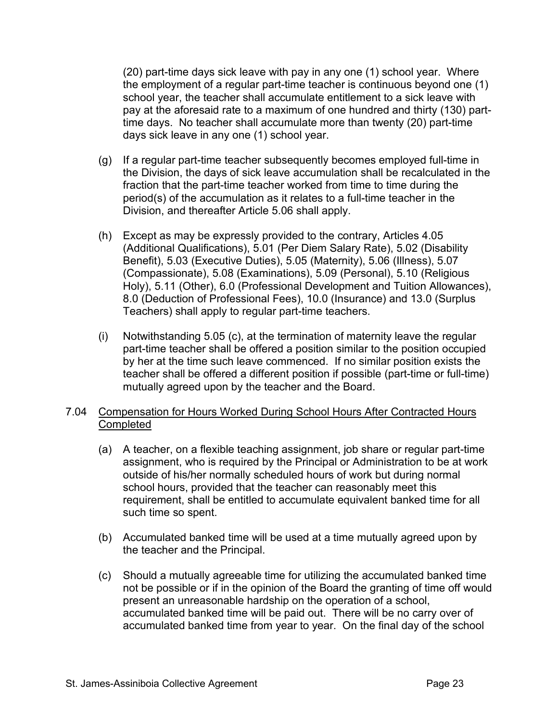(20) part-time days sick leave with pay in any one (1) school year. Where the employment of a regular part-time teacher is continuous beyond one (1) school year, the teacher shall accumulate entitlement to a sick leave with pay at the aforesaid rate to a maximum of one hundred and thirty (130) parttime days. No teacher shall accumulate more than twenty (20) part-time days sick leave in any one (1) school year.

- (g) If a regular part-time teacher subsequently becomes employed full-time in the Division, the days of sick leave accumulation shall be recalculated in the fraction that the part-time teacher worked from time to time during the period(s) of the accumulation as it relates to a full-time teacher in the Division, and thereafter Article 5.06 shall apply.
- (h) Except as may be expressly provided to the contrary, Articles 4.05 (Additional Qualifications), 5.01 (Per Diem Salary Rate), 5.02 (Disability Benefit), 5.03 (Executive Duties), 5.05 (Maternity), 5.06 (Illness), 5.07 (Compassionate), 5.08 (Examinations), 5.09 (Personal), 5.10 (Religious Holy), 5.11 (Other), 6.0 (Professional Development and Tuition Allowances), 8.0 (Deduction of Professional Fees), 10.0 (Insurance) and 13.0 (Surplus Teachers) shall apply to regular part-time teachers.
- (i) Notwithstanding 5.05 (c), at the termination of maternity leave the regular part-time teacher shall be offered a position similar to the position occupied by her at the time such leave commenced. If no similar position exists the teacher shall be offered a different position if possible (part-time or full-time) mutually agreed upon by the teacher and the Board.

# 7.04 Compensation for Hours Worked During School Hours After Contracted Hours **Completed**

- (a) A teacher, on a flexible teaching assignment, job share or regular part-time assignment, who is required by the Principal or Administration to be at work outside of his/her normally scheduled hours of work but during normal school hours, provided that the teacher can reasonably meet this requirement, shall be entitled to accumulate equivalent banked time for all such time so spent.
- (b) Accumulated banked time will be used at a time mutually agreed upon by the teacher and the Principal.
- (c) Should a mutually agreeable time for utilizing the accumulated banked time not be possible or if in the opinion of the Board the granting of time off would present an unreasonable hardship on the operation of a school, accumulated banked time will be paid out. There will be no carry over of accumulated banked time from year to year. On the final day of the school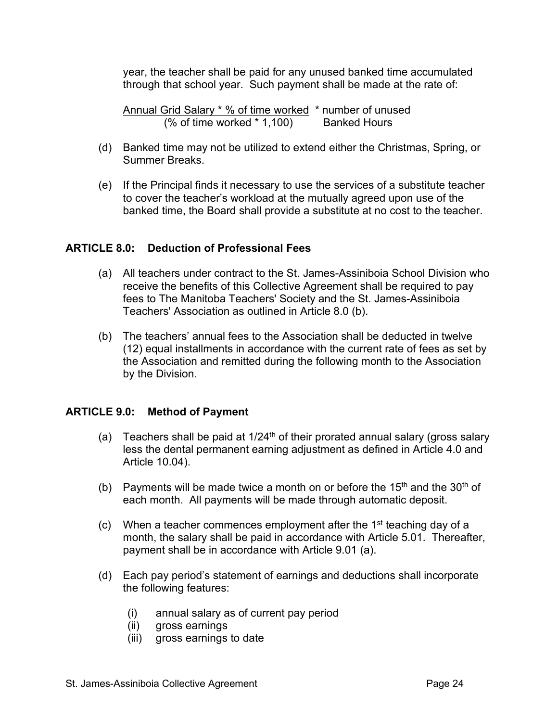year, the teacher shall be paid for any unused banked time accumulated through that school year. Such payment shall be made at the rate of:

Annual Grid Salary \* % of time worked \* number of unused (% of time worked \* 1,100) Banked Hours

- (d) Banked time may not be utilized to extend either the Christmas, Spring, or Summer Breaks.
- (e) If the Principal finds it necessary to use the services of a substitute teacher to cover the teacher's workload at the mutually agreed upon use of the banked time, the Board shall provide a substitute at no cost to the teacher.

## **ARTICLE 8.0: Deduction of Professional Fees**

- (a) All teachers under contract to the St. James-Assiniboia School Division who receive the benefits of this Collective Agreement shall be required to pay fees to The Manitoba Teachers' Society and the St. James-Assiniboia Teachers' Association as outlined in Article 8.0 (b).
- (b) The teachers' annual fees to the Association shall be deducted in twelve (12) equal installments in accordance with the current rate of fees as set by the Association and remitted during the following month to the Association by the Division.

#### **ARTICLE 9.0: Method of Payment**

- (a) Teachers shall be paid at  $1/24<sup>th</sup>$  of their prorated annual salary (gross salary less the dental permanent earning adjustment as defined in Article 4.0 and Article 10.04).
- (b) Payments will be made twice a month on or before the 15<sup>th</sup> and the 30<sup>th</sup> of each month. All payments will be made through automatic deposit.
- (c) When a teacher commences employment after the  $1<sup>st</sup>$  teaching day of a month, the salary shall be paid in accordance with Article 5.01. Thereafter, payment shall be in accordance with Article 9.01 (a).
- (d) Each pay period's statement of earnings and deductions shall incorporate the following features:
	- (i) annual salary as of current pay period
	- (ii) gross earnings
	- (iii) gross earnings to date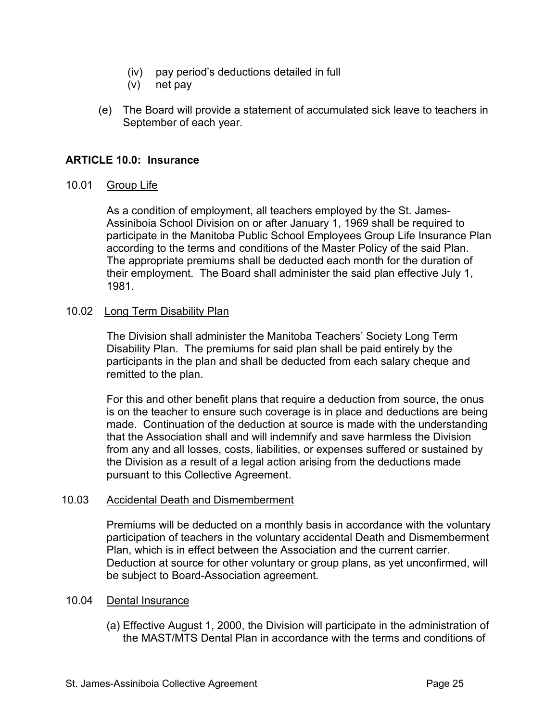- (iv) pay period's deductions detailed in full
- (v) net pay
- (e) The Board will provide a statement of accumulated sick leave to teachers in September of each year.

## **ARTICLE 10.0: Insurance**

#### 10.01 Group Life

As a condition of employment, all teachers employed by the St. James-Assiniboia School Division on or after January 1, 1969 shall be required to participate in the Manitoba Public School Employees Group Life Insurance Plan according to the terms and conditions of the Master Policy of the said Plan. The appropriate premiums shall be deducted each month for the duration of their employment. The Board shall administer the said plan effective July 1, 1981.

#### 10.02 Long Term Disability Plan

The Division shall administer the Manitoba Teachers' Society Long Term Disability Plan. The premiums for said plan shall be paid entirely by the participants in the plan and shall be deducted from each salary cheque and remitted to the plan.

For this and other benefit plans that require a deduction from source, the onus is on the teacher to ensure such coverage is in place and deductions are being made. Continuation of the deduction at source is made with the understanding that the Association shall and will indemnify and save harmless the Division from any and all losses, costs, liabilities, or expenses suffered or sustained by the Division as a result of a legal action arising from the deductions made pursuant to this Collective Agreement.

## 10.03 Accidental Death and Dismemberment

Premiums will be deducted on a monthly basis in accordance with the voluntary participation of teachers in the voluntary accidental Death and Dismemberment Plan, which is in effect between the Association and the current carrier. Deduction at source for other voluntary or group plans, as yet unconfirmed, will be subject to Board-Association agreement.

## 10.04 Dental Insurance

(a) Effective August 1, 2000, the Division will participate in the administration of the MAST/MTS Dental Plan in accordance with the terms and conditions of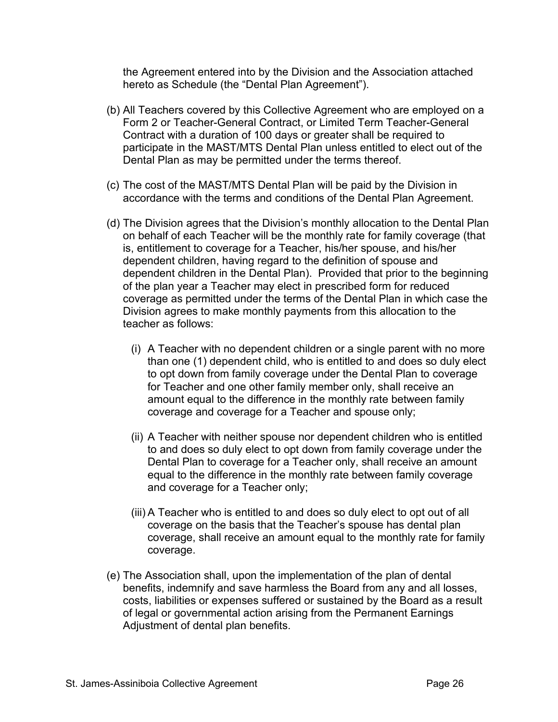the Agreement entered into by the Division and the Association attached hereto as Schedule (the "Dental Plan Agreement").

- (b) All Teachers covered by this Collective Agreement who are employed on a Form 2 or Teacher-General Contract, or Limited Term Teacher-General Contract with a duration of 100 days or greater shall be required to participate in the MAST/MTS Dental Plan unless entitled to elect out of the Dental Plan as may be permitted under the terms thereof.
- (c) The cost of the MAST/MTS Dental Plan will be paid by the Division in accordance with the terms and conditions of the Dental Plan Agreement.
- (d) The Division agrees that the Division's monthly allocation to the Dental Plan on behalf of each Teacher will be the monthly rate for family coverage (that is, entitlement to coverage for a Teacher, his/her spouse, and his/her dependent children, having regard to the definition of spouse and dependent children in the Dental Plan). Provided that prior to the beginning of the plan year a Teacher may elect in prescribed form for reduced coverage as permitted under the terms of the Dental Plan in which case the Division agrees to make monthly payments from this allocation to the teacher as follows:
	- (i) A Teacher with no dependent children or a single parent with no more than one (1) dependent child, who is entitled to and does so duly elect to opt down from family coverage under the Dental Plan to coverage for Teacher and one other family member only, shall receive an amount equal to the difference in the monthly rate between family coverage and coverage for a Teacher and spouse only;
	- (ii) A Teacher with neither spouse nor dependent children who is entitled to and does so duly elect to opt down from family coverage under the Dental Plan to coverage for a Teacher only, shall receive an amount equal to the difference in the monthly rate between family coverage and coverage for a Teacher only;
	- (iii) A Teacher who is entitled to and does so duly elect to opt out of all coverage on the basis that the Teacher's spouse has dental plan coverage, shall receive an amount equal to the monthly rate for family coverage.
- (e) The Association shall, upon the implementation of the plan of dental benefits, indemnify and save harmless the Board from any and all losses, costs, liabilities or expenses suffered or sustained by the Board as a result of legal or governmental action arising from the Permanent Earnings Adjustment of dental plan benefits.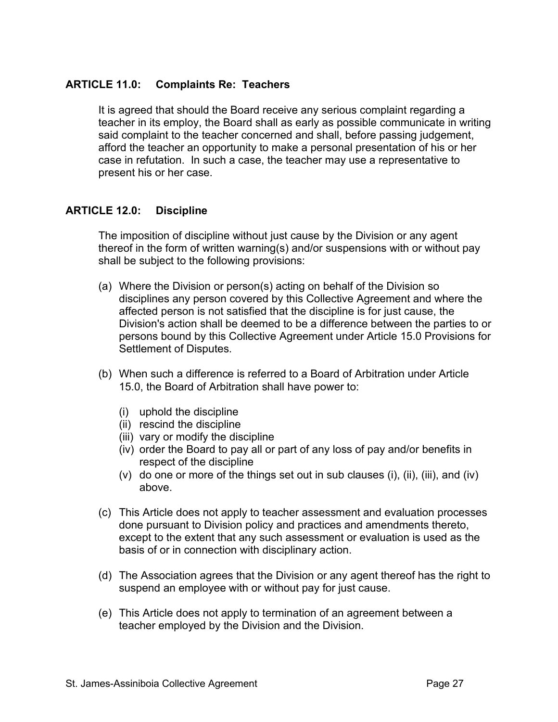## **ARTICLE 11.0: Complaints Re: Teachers**

It is agreed that should the Board receive any serious complaint regarding a teacher in its employ, the Board shall as early as possible communicate in writing said complaint to the teacher concerned and shall, before passing judgement, afford the teacher an opportunity to make a personal presentation of his or her case in refutation. In such a case, the teacher may use a representative to present his or her case.

## **ARTICLE 12.0: Discipline**

The imposition of discipline without just cause by the Division or any agent thereof in the form of written warning(s) and/or suspensions with or without pay shall be subject to the following provisions:

- (a) Where the Division or person(s) acting on behalf of the Division so disciplines any person covered by this Collective Agreement and where the affected person is not satisfied that the discipline is for just cause, the Division's action shall be deemed to be a difference between the parties to or persons bound by this Collective Agreement under Article 15.0 Provisions for Settlement of Disputes.
- (b) When such a difference is referred to a Board of Arbitration under Article 15.0, the Board of Arbitration shall have power to:
	- (i) uphold the discipline
	- (ii) rescind the discipline
	- (iii) vary or modify the discipline
	- (iv) order the Board to pay all or part of any loss of pay and/or benefits in respect of the discipline
	- (v) do one or more of the things set out in sub clauses (i), (ii), (iii), and (iv) above.
- (c) This Article does not apply to teacher assessment and evaluation processes done pursuant to Division policy and practices and amendments thereto, except to the extent that any such assessment or evaluation is used as the basis of or in connection with disciplinary action.
- (d) The Association agrees that the Division or any agent thereof has the right to suspend an employee with or without pay for just cause.
- (e) This Article does not apply to termination of an agreement between a teacher employed by the Division and the Division.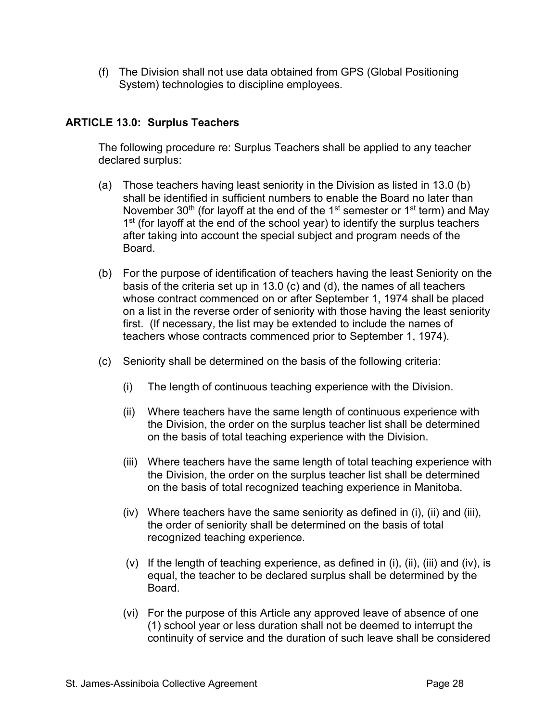(f) The Division shall not use data obtained from GPS (Global Positioning System) technologies to discipline employees.

# **ARTICLE 13.0: Surplus Teachers**

The following procedure re: Surplus Teachers shall be applied to any teacher declared surplus:

- (a) Those teachers having least seniority in the Division as listed in 13.0 (b) shall be identified in sufficient numbers to enable the Board no later than November  $30<sup>th</sup>$  (for layoff at the end of the 1<sup>st</sup> semester or 1<sup>st</sup> term) and May  $1<sup>st</sup>$  (for layoff at the end of the school year) to identify the surplus teachers after taking into account the special subject and program needs of the Board.
- (b) For the purpose of identification of teachers having the least Seniority on the basis of the criteria set up in 13.0 (c) and (d), the names of all teachers whose contract commenced on or after September 1, 1974 shall be placed on a list in the reverse order of seniority with those having the least seniority first. (If necessary, the list may be extended to include the names of teachers whose contracts commenced prior to September 1, 1974).
- (c) Seniority shall be determined on the basis of the following criteria:
	- (i) The length of continuous teaching experience with the Division.
	- (ii) Where teachers have the same length of continuous experience with the Division, the order on the surplus teacher list shall be determined on the basis of total teaching experience with the Division.
	- (iii) Where teachers have the same length of total teaching experience with the Division, the order on the surplus teacher list shall be determined on the basis of total recognized teaching experience in Manitoba.
	- (iv) Where teachers have the same seniority as defined in (i), (ii) and (iii), the order of seniority shall be determined on the basis of total recognized teaching experience.
	- (v) If the length of teaching experience, as defined in (i), (ii), (iii) and (iv), is equal, the teacher to be declared surplus shall be determined by the **Board**
	- (vi) For the purpose of this Article any approved leave of absence of one (1) school year or less duration shall not be deemed to interrupt the continuity of service and the duration of such leave shall be considered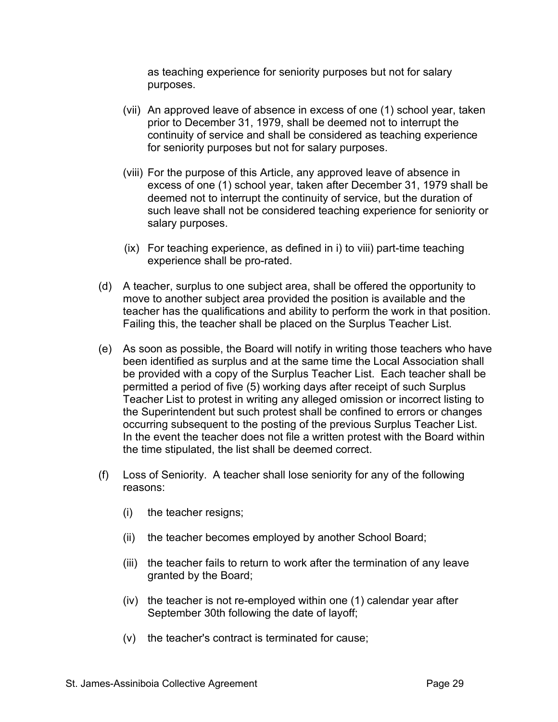as teaching experience for seniority purposes but not for salary purposes.

- (vii) An approved leave of absence in excess of one (1) school year, taken prior to December 31, 1979, shall be deemed not to interrupt the continuity of service and shall be considered as teaching experience for seniority purposes but not for salary purposes.
- (viii) For the purpose of this Article, any approved leave of absence in excess of one (1) school year, taken after December 31, 1979 shall be deemed not to interrupt the continuity of service, but the duration of such leave shall not be considered teaching experience for seniority or salary purposes.
- (ix) For teaching experience, as defined in i) to viii) part-time teaching experience shall be pro-rated.
- (d) A teacher, surplus to one subject area, shall be offered the opportunity to move to another subject area provided the position is available and the teacher has the qualifications and ability to perform the work in that position. Failing this, the teacher shall be placed on the Surplus Teacher List.
- (e) As soon as possible, the Board will notify in writing those teachers who have been identified as surplus and at the same time the Local Association shall be provided with a copy of the Surplus Teacher List. Each teacher shall be permitted a period of five (5) working days after receipt of such Surplus Teacher List to protest in writing any alleged omission or incorrect listing to the Superintendent but such protest shall be confined to errors or changes occurring subsequent to the posting of the previous Surplus Teacher List. In the event the teacher does not file a written protest with the Board within the time stipulated, the list shall be deemed correct.
- (f) Loss of Seniority. A teacher shall lose seniority for any of the following reasons:
	- (i) the teacher resigns;
	- (ii) the teacher becomes employed by another School Board;
	- (iii) the teacher fails to return to work after the termination of any leave granted by the Board;
	- (iv) the teacher is not re-employed within one (1) calendar year after September 30th following the date of layoff;
	- (v) the teacher's contract is terminated for cause;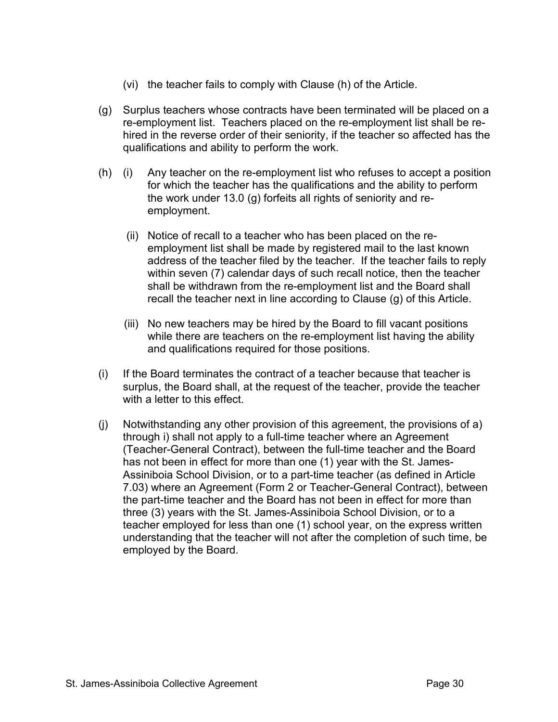- (vi) the teacher fails to comply with Clause (h) of the Article.
- (g) Surplus teachers whose contracts have been terminated will be placed on a re-employment list. Teachers placed on the re-employment list shall be rehired in the reverse order of their seniority, if the teacher so affected has the qualifications and ability to perform the work.
- (h) (i) Any teacher on the re-employment list who refuses to accept a position for which the teacher has the qualifications and the ability to perform the work under 13.0 (g) forfeits all rights of seniority and reemployment.
	- (ii) Notice of recall to a teacher who has been placed on the reemployment list shall be made by registered mail to the last known address of the teacher filed by the teacher. If the teacher fails to reply within seven (7) calendar days of such recall notice, then the teacher shall be withdrawn from the re-employment list and the Board shall recall the teacher next in line according to Clause (g) of this Article.
	- (iii) No new teachers may be hired by the Board to fill vacant positions while there are teachers on the re-employment list having the ability and qualifications required for those positions.
- (i) If the Board terminates the contract of a teacher because that teacher is surplus, the Board shall, at the request of the teacher, provide the teacher with a letter to this effect.
- (j) Notwithstanding any other provision of this agreement, the provisions of a) through i) shall not apply to a full-time teacher where an Agreement (Teacher-General Contract), between the full-time teacher and the Board has not been in effect for more than one (1) year with the St. James-Assiniboia School Division, or to a part-time teacher (as defined in Article 7.03) where an Agreement (Form 2 or Teacher-General Contract), between the part-time teacher and the Board has not been in effect for more than three (3) years with the St. James-Assiniboia School Division, or to a teacher employed for less than one (1) school year, on the express written understanding that the teacher will not after the completion of such time, be employed by the Board.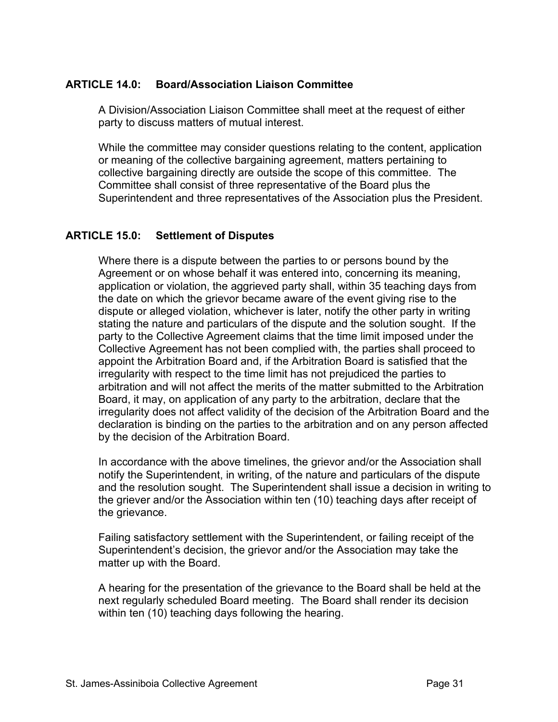# **ARTICLE 14.0: Board/Association Liaison Committee**

A Division/Association Liaison Committee shall meet at the request of either party to discuss matters of mutual interest.

While the committee may consider questions relating to the content, application or meaning of the collective bargaining agreement, matters pertaining to collective bargaining directly are outside the scope of this committee. The Committee shall consist of three representative of the Board plus the Superintendent and three representatives of the Association plus the President.

## **ARTICLE 15.0: Settlement of Disputes**

Where there is a dispute between the parties to or persons bound by the Agreement or on whose behalf it was entered into, concerning its meaning, application or violation, the aggrieved party shall, within 35 teaching days from the date on which the grievor became aware of the event giving rise to the dispute or alleged violation, whichever is later, notify the other party in writing stating the nature and particulars of the dispute and the solution sought. If the party to the Collective Agreement claims that the time limit imposed under the Collective Agreement has not been complied with, the parties shall proceed to appoint the Arbitration Board and, if the Arbitration Board is satisfied that the irregularity with respect to the time limit has not prejudiced the parties to arbitration and will not affect the merits of the matter submitted to the Arbitration Board, it may, on application of any party to the arbitration, declare that the irregularity does not affect validity of the decision of the Arbitration Board and the declaration is binding on the parties to the arbitration and on any person affected by the decision of the Arbitration Board.

In accordance with the above timelines, the grievor and/or the Association shall notify the Superintendent, in writing, of the nature and particulars of the dispute and the resolution sought. The Superintendent shall issue a decision in writing to the griever and/or the Association within ten (10) teaching days after receipt of the grievance.

Failing satisfactory settlement with the Superintendent, or failing receipt of the Superintendent's decision, the grievor and/or the Association may take the matter up with the Board.

A hearing for the presentation of the grievance to the Board shall be held at the next regularly scheduled Board meeting. The Board shall render its decision within ten (10) teaching days following the hearing.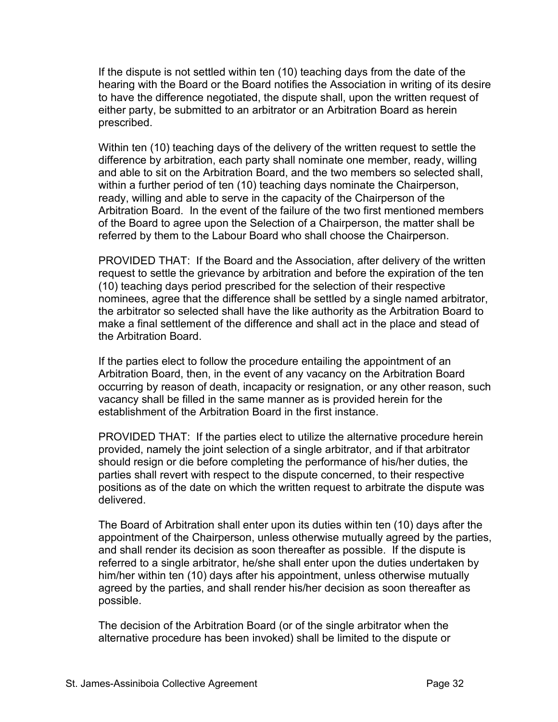If the dispute is not settled within ten (10) teaching days from the date of the hearing with the Board or the Board notifies the Association in writing of its desire to have the difference negotiated, the dispute shall, upon the written request of either party, be submitted to an arbitrator or an Arbitration Board as herein prescribed.

Within ten (10) teaching days of the delivery of the written request to settle the difference by arbitration, each party shall nominate one member, ready, willing and able to sit on the Arbitration Board, and the two members so selected shall, within a further period of ten (10) teaching days nominate the Chairperson, ready, willing and able to serve in the capacity of the Chairperson of the Arbitration Board. In the event of the failure of the two first mentioned members of the Board to agree upon the Selection of a Chairperson, the matter shall be referred by them to the Labour Board who shall choose the Chairperson.

PROVIDED THAT: If the Board and the Association, after delivery of the written request to settle the grievance by arbitration and before the expiration of the ten (10) teaching days period prescribed for the selection of their respective nominees, agree that the difference shall be settled by a single named arbitrator, the arbitrator so selected shall have the like authority as the Arbitration Board to make a final settlement of the difference and shall act in the place and stead of the Arbitration Board.

If the parties elect to follow the procedure entailing the appointment of an Arbitration Board, then, in the event of any vacancy on the Arbitration Board occurring by reason of death, incapacity or resignation, or any other reason, such vacancy shall be filled in the same manner as is provided herein for the establishment of the Arbitration Board in the first instance.

PROVIDED THAT: If the parties elect to utilize the alternative procedure herein provided, namely the joint selection of a single arbitrator, and if that arbitrator should resign or die before completing the performance of his/her duties, the parties shall revert with respect to the dispute concerned, to their respective positions as of the date on which the written request to arbitrate the dispute was delivered.

The Board of Arbitration shall enter upon its duties within ten (10) days after the appointment of the Chairperson, unless otherwise mutually agreed by the parties, and shall render its decision as soon thereafter as possible. If the dispute is referred to a single arbitrator, he/she shall enter upon the duties undertaken by him/her within ten (10) days after his appointment, unless otherwise mutually agreed by the parties, and shall render his/her decision as soon thereafter as possible.

The decision of the Arbitration Board (or of the single arbitrator when the alternative procedure has been invoked) shall be limited to the dispute or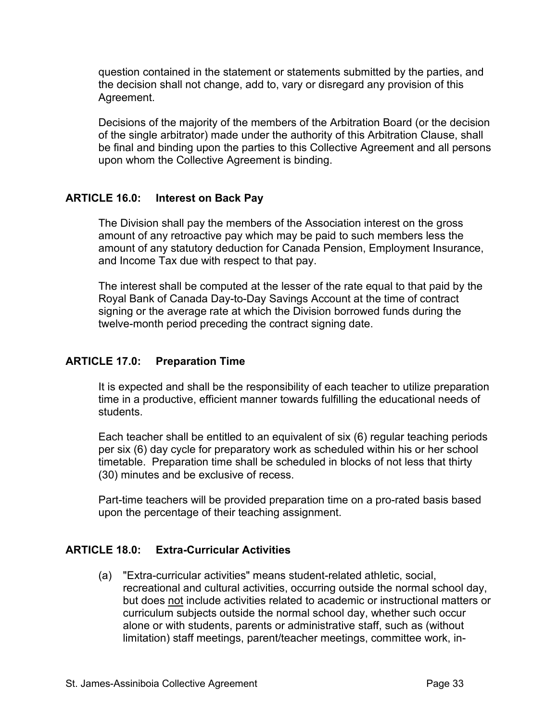question contained in the statement or statements submitted by the parties, and the decision shall not change, add to, vary or disregard any provision of this Agreement.

Decisions of the majority of the members of the Arbitration Board (or the decision of the single arbitrator) made under the authority of this Arbitration Clause, shall be final and binding upon the parties to this Collective Agreement and all persons upon whom the Collective Agreement is binding.

# **ARTICLE 16.0: Interest on Back Pay**

The Division shall pay the members of the Association interest on the gross amount of any retroactive pay which may be paid to such members less the amount of any statutory deduction for Canada Pension, Employment Insurance, and Income Tax due with respect to that pay.

The interest shall be computed at the lesser of the rate equal to that paid by the Royal Bank of Canada Day-to-Day Savings Account at the time of contract signing or the average rate at which the Division borrowed funds during the twelve-month period preceding the contract signing date.

## **ARTICLE 17.0: Preparation Time**

It is expected and shall be the responsibility of each teacher to utilize preparation time in a productive, efficient manner towards fulfilling the educational needs of students.

Each teacher shall be entitled to an equivalent of six (6) regular teaching periods per six (6) day cycle for preparatory work as scheduled within his or her school timetable. Preparation time shall be scheduled in blocks of not less that thirty (30) minutes and be exclusive of recess.

Part-time teachers will be provided preparation time on a pro-rated basis based upon the percentage of their teaching assignment.

## **ARTICLE 18.0: Extra-Curricular Activities**

(a) "Extra-curricular activities" means student-related athletic, social, recreational and cultural activities, occurring outside the normal school day, but does not include activities related to academic or instructional matters or curriculum subjects outside the normal school day, whether such occur alone or with students, parents or administrative staff, such as (without limitation) staff meetings, parent/teacher meetings, committee work, in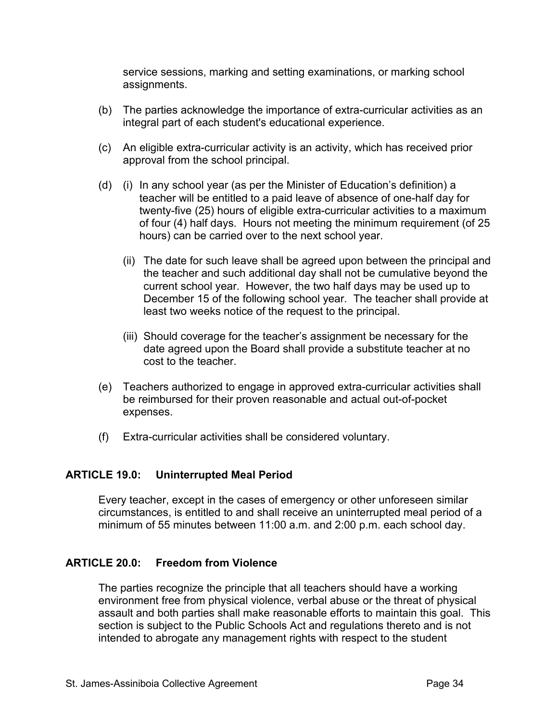service sessions, marking and setting examinations, or marking school assignments.

- (b) The parties acknowledge the importance of extra-curricular activities as an integral part of each student's educational experience.
- (c) An eligible extra-curricular activity is an activity, which has received prior approval from the school principal.
- (d) (i) In any school year (as per the Minister of Education's definition) a teacher will be entitled to a paid leave of absence of one-half day for twenty-five (25) hours of eligible extra-curricular activities to a maximum of four (4) half days. Hours not meeting the minimum requirement (of 25 hours) can be carried over to the next school year.
	- (ii) The date for such leave shall be agreed upon between the principal and the teacher and such additional day shall not be cumulative beyond the current school year. However, the two half days may be used up to December 15 of the following school year. The teacher shall provide at least two weeks notice of the request to the principal.
	- (iii) Should coverage for the teacher's assignment be necessary for the date agreed upon the Board shall provide a substitute teacher at no cost to the teacher.
- (e) Teachers authorized to engage in approved extra-curricular activities shall be reimbursed for their proven reasonable and actual out-of-pocket expenses.
- (f) Extra-curricular activities shall be considered voluntary.

## **ARTICLE 19.0: Uninterrupted Meal Period**

Every teacher, except in the cases of emergency or other unforeseen similar circumstances, is entitled to and shall receive an uninterrupted meal period of a minimum of 55 minutes between 11:00 a.m. and 2:00 p.m. each school day.

## **ARTICLE 20.0: Freedom from Violence**

The parties recognize the principle that all teachers should have a working environment free from physical violence, verbal abuse or the threat of physical assault and both parties shall make reasonable efforts to maintain this goal. This section is subject to the Public Schools Act and regulations thereto and is not intended to abrogate any management rights with respect to the student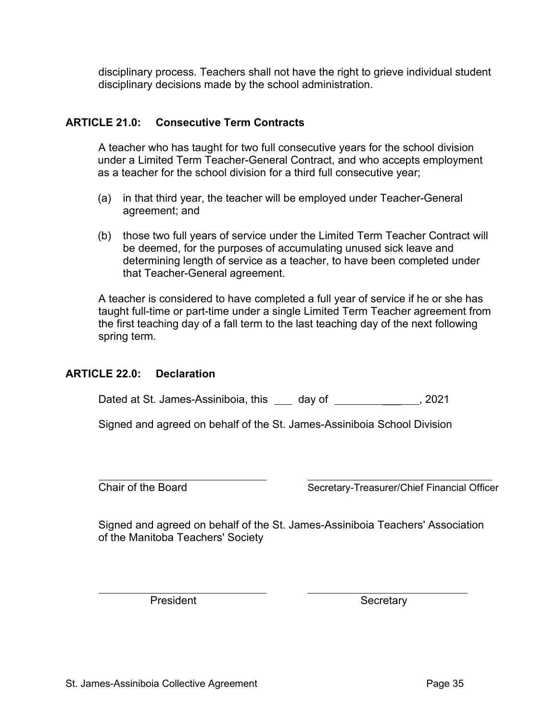disciplinary process. Teachers shall not have the right to grieve individual student disciplinary decisions made by the school administration.

# **ARTICLE 21.0: Consecutive Term Contracts**

A teacher who has taught for two full consecutive years for the school division under a Limited Term Teacher-General Contract, and who accepts employment as a teacher for the school division for a third full consecutive year;

- (a) in that third year, the teacher will be employed under Teacher-General agreement; and
- (b) those two full years of service under the Limited Term Teacher Contract will be deemed, for the purposes of accumulating unused sick leave and determining length of service as a teacher, to have been completed under that Teacher-General agreement.

A teacher is considered to have completed a full year of service if he or she has taught full-time or part-time under a single Limited Term Teacher agreement from the first teaching day of a fall term to the last teaching day of the next following spring term.

## **ARTICLE 22.0: Declaration**

Dated at St. James-Assiniboia, this \_\_\_ day of \_\_\_\_\_\_\_\_\_\_\_\_\_\_, 2021

Signed and agreed on behalf of the St. James-Assiniboia School Division

Chair of the Board Secretary-Treasurer/Chief Financial Officer

Signed and agreed on behalf of the St. James-Assiniboia Teachers' Association of the Manitoba Teachers' Society

President Secretary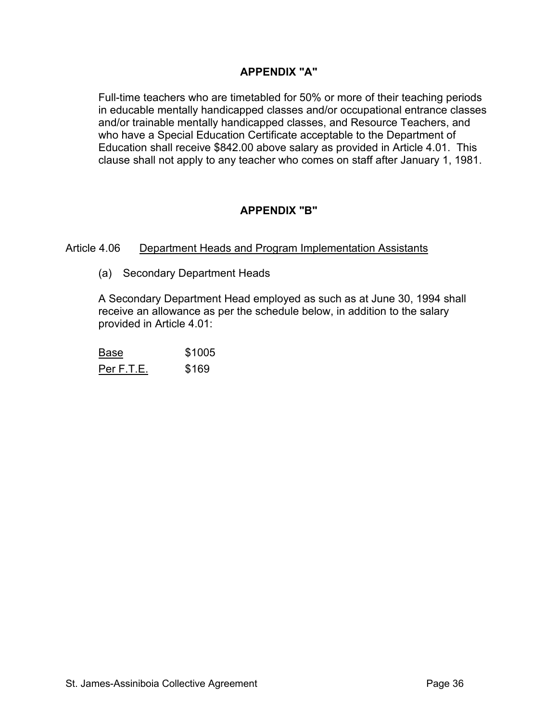# **APPENDIX "A"**

Full-time teachers who are timetabled for 50% or more of their teaching periods in educable mentally handicapped classes and/or occupational entrance classes and/or trainable mentally handicapped classes, and Resource Teachers, and who have a Special Education Certificate acceptable to the Department of Education shall receive \$842.00 above salary as provided in Article 4.01. This clause shall not apply to any teacher who comes on staff after January 1, 1981.

# **APPENDIX "B"**

## Article 4.06 Department Heads and Program Implementation Assistants

(a) Secondary Department Heads

A Secondary Department Head employed as such as at June 30, 1994 shall receive an allowance as per the schedule below, in addition to the salary provided in Article 4.01:

Base \$1005 Per F.T.E. \$169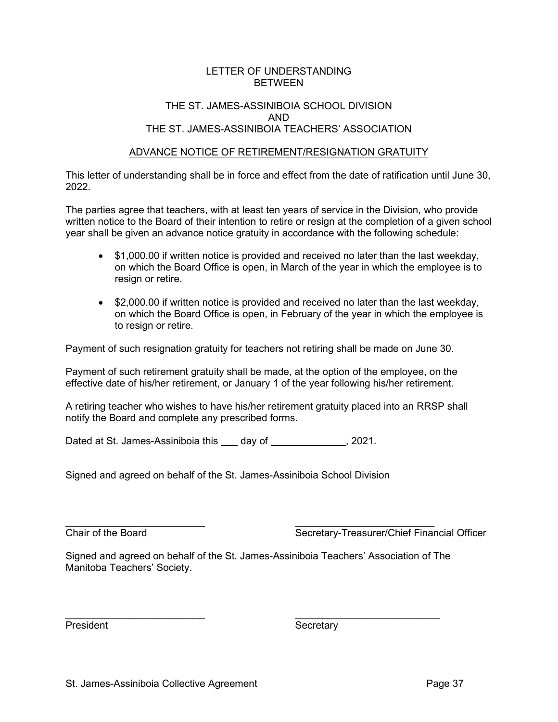#### LETTER OF UNDERSTANDING BETWEEN

#### THE ST. JAMES-ASSINIBOIA SCHOOL DIVISION AND THE ST. JAMES-ASSINIBOIA TEACHERS' ASSOCIATION

#### ADVANCE NOTICE OF RETIREMENT/RESIGNATION GRATUITY

This letter of understanding shall be in force and effect from the date of ratification until June 30, 2022.

The parties agree that teachers, with at least ten years of service in the Division, who provide written notice to the Board of their intention to retire or resign at the completion of a given school year shall be given an advance notice gratuity in accordance with the following schedule:

- \$1,000.00 if written notice is provided and received no later than the last weekday, on which the Board Office is open, in March of the year in which the employee is to resign or retire.
- \$2,000.00 if written notice is provided and received no later than the last weekday, on which the Board Office is open, in February of the year in which the employee is to resign or retire.

Payment of such resignation gratuity for teachers not retiring shall be made on June 30.

Payment of such retirement gratuity shall be made, at the option of the employee, on the effective date of his/her retirement, or January 1 of the year following his/her retirement.

A retiring teacher who wishes to have his/her retirement gratuity placed into an RRSP shall notify the Board and complete any prescribed forms.

Dated at St. James-Assiniboia this day of **constructs**, 2021.

Signed and agreed on behalf of the St. James-Assiniboia School Division

\_\_\_\_\_\_\_\_\_\_\_\_\_\_\_\_\_\_\_\_\_\_\_\_\_ \_\_\_\_\_\_\_\_\_\_\_\_\_\_\_\_\_\_\_\_\_\_\_\_\_ Chair of the Board Secretary-Treasurer/Chief Financial Officer

Signed and agreed on behalf of the St. James-Assiniboia Teachers' Association of The Manitoba Teachers' Society.

 $\mathcal{L}_\text{max}$  , and the contract of the contract of the contract of the contract of the contract of the contract of the contract of the contract of the contract of the contract of the contract of the contract of the contr

President **Secretary**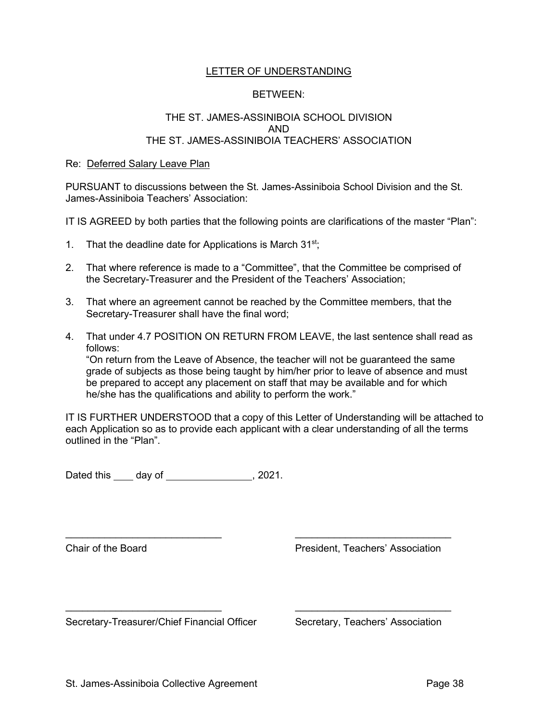#### LETTER OF UNDERSTANDING

#### BETWEEN:

#### THE ST. JAMES-ASSINIBOIA SCHOOL DIVISION AND THE ST. JAMES-ASSINIBOIA TEACHERS' ASSOCIATION

#### Re: Deferred Salary Leave Plan

PURSUANT to discussions between the St. James-Assiniboia School Division and the St. James-Assiniboia Teachers' Association:

IT IS AGREED by both parties that the following points are clarifications of the master "Plan":

- 1. That the deadline date for Applications is March  $31^{st}$ ;
- 2. That where reference is made to a "Committee", that the Committee be comprised of the Secretary-Treasurer and the President of the Teachers' Association;
- 3. That where an agreement cannot be reached by the Committee members, that the Secretary-Treasurer shall have the final word;
- 4. That under 4.7 POSITION ON RETURN FROM LEAVE, the last sentence shall read as follows:

"On return from the Leave of Absence, the teacher will not be guaranteed the same grade of subjects as those being taught by him/her prior to leave of absence and must be prepared to accept any placement on staff that may be available and for which he/she has the qualifications and ability to perform the work."

IT IS FURTHER UNDERSTOOD that a copy of this Letter of Understanding will be attached to each Application so as to provide each applicant with a clear understanding of all the terms outlined in the "Plan".

 $\_$  , and the set of the set of the set of the set of the set of the set of the set of the set of the set of the set of the set of the set of the set of the set of the set of the set of the set of the set of the set of th

\_\_\_\_\_\_\_\_\_\_\_\_\_\_\_\_\_\_\_\_\_\_\_\_\_\_\_\_ \_\_\_\_\_\_\_\_\_\_\_\_\_\_\_\_\_\_\_\_\_\_\_\_\_\_\_\_

Dated this \_\_\_\_\_ day of \_\_\_\_\_\_\_\_\_\_\_\_\_\_\_\_\_\_, 2021.

Chair of the Board President, Teachers' Association

Secretary-Treasurer/Chief Financial Officer Secretary, Teachers' Association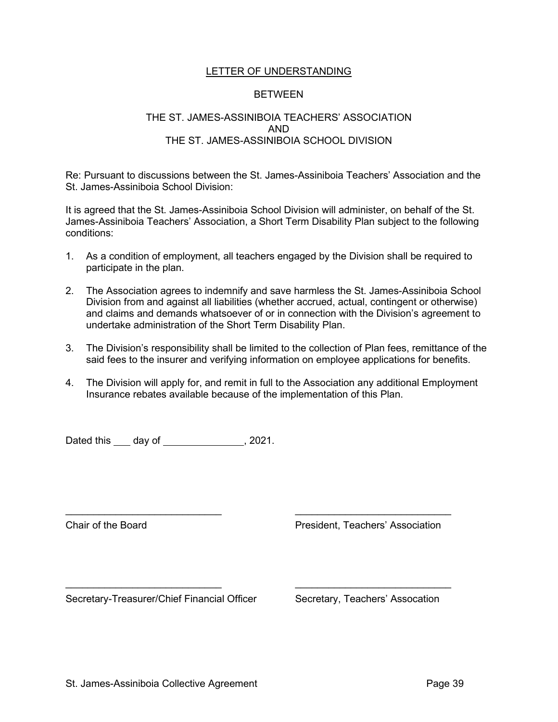#### LETTER OF UNDERSTANDING

#### BETWEEN

#### THE ST. JAMES-ASSINIBOIA TEACHERS' ASSOCIATION AND THE ST. JAMES-ASSINIBOIA SCHOOL DIVISION

Re: Pursuant to discussions between the St. James-Assiniboia Teachers' Association and the St. James-Assiniboia School Division:

It is agreed that the St. James-Assiniboia School Division will administer, on behalf of the St. James-Assiniboia Teachers' Association, a Short Term Disability Plan subject to the following conditions:

- 1. As a condition of employment, all teachers engaged by the Division shall be required to participate in the plan.
- 2. The Association agrees to indemnify and save harmless the St. James-Assiniboia School Division from and against all liabilities (whether accrued, actual, contingent or otherwise) and claims and demands whatsoever of or in connection with the Division's agreement to undertake administration of the Short Term Disability Plan.
- 3. The Division's responsibility shall be limited to the collection of Plan fees, remittance of the said fees to the insurer and verifying information on employee applications for benefits.
- 4. The Division will apply for, and remit in full to the Association any additional Employment Insurance rebates available because of the implementation of this Plan.

\_\_\_\_\_\_\_\_\_\_\_\_\_\_\_\_\_\_\_\_\_\_\_\_\_\_\_\_ \_\_\_\_\_\_\_\_\_\_\_\_\_\_\_\_\_\_\_\_\_\_\_\_\_\_\_\_

 $\_$  , and the set of the set of the set of the set of the set of the set of the set of the set of the set of the set of the set of the set of the set of the set of the set of the set of the set of the set of the set of th

Dated this  $\_\_\_$  day of  $\_\_\_\_\_\_\_\_\_\$ , 2021.

Chair of the Board President, Teachers' Association

Secretary-Treasurer/Chief Financial Officer Secretary, Teachers' Assocation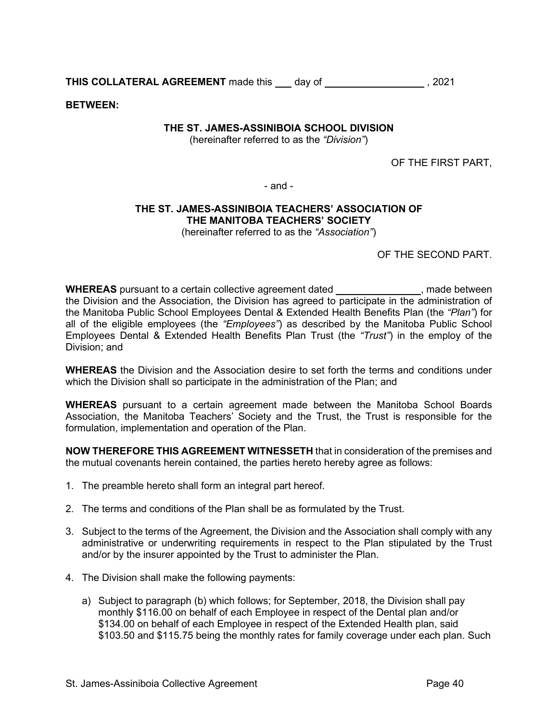**THIS COLLATERAL AGREEMENT** made this day of **or all and the set of the set of the set of the set of the set of the set of the set of the set of the set of the set of the set of the set of the set of the set of the set of** 

**BETWEEN:**

#### **THE ST. JAMES-ASSINIBOIA SCHOOL DIVISION**

(hereinafter referred to as the *"Division"*)

OF THE FIRST PART,

- and -

# **THE ST. JAMES-ASSINIBOIA TEACHERS' ASSOCIATION OF THE MANITOBA TEACHERS' SOCIETY**

(hereinafter referred to as the *"Association"*)

OF THE SECOND PART.

**WHEREAS** pursuant to a certain collective agreement dated *we refer than all purposes*, made between the Division and the Association, the Division has agreed to participate in the administration of the Manitoba Public School Employees Dental & Extended Health Benefits Plan (the *"Plan"*) for all of the eligible employees (the *"Employees"*) as described by the Manitoba Public School Employees Dental & Extended Health Benefits Plan Trust (the *"Trust"*) in the employ of the Division; and

**WHEREAS** the Division and the Association desire to set forth the terms and conditions under which the Division shall so participate in the administration of the Plan; and

**WHEREAS** pursuant to a certain agreement made between the Manitoba School Boards Association, the Manitoba Teachers' Society and the Trust, the Trust is responsible for the formulation, implementation and operation of the Plan.

**NOW THEREFORE THIS AGREEMENT WITNESSETH** that in consideration of the premises and the mutual covenants herein contained, the parties hereto hereby agree as follows:

- 1. The preamble hereto shall form an integral part hereof.
- 2. The terms and conditions of the Plan shall be as formulated by the Trust.
- 3. Subject to the terms of the Agreement, the Division and the Association shall comply with any administrative or underwriting requirements in respect to the Plan stipulated by the Trust and/or by the insurer appointed by the Trust to administer the Plan.
- 4. The Division shall make the following payments:
	- a) Subject to paragraph (b) which follows; for September, 2018, the Division shall pay monthly \$116.00 on behalf of each Employee in respect of the Dental plan and/or \$134.00 on behalf of each Employee in respect of the Extended Health plan, said \$103.50 and \$115.75 being the monthly rates for family coverage under each plan. Such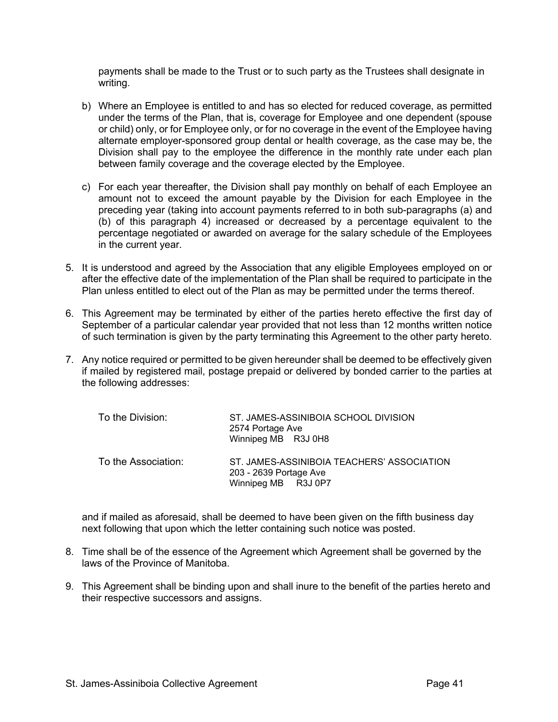payments shall be made to the Trust or to such party as the Trustees shall designate in writing.

- b) Where an Employee is entitled to and has so elected for reduced coverage, as permitted under the terms of the Plan, that is, coverage for Employee and one dependent (spouse or child) only, or for Employee only, or for no coverage in the event of the Employee having alternate employer-sponsored group dental or health coverage, as the case may be, the Division shall pay to the employee the difference in the monthly rate under each plan between family coverage and the coverage elected by the Employee.
- c) For each year thereafter, the Division shall pay monthly on behalf of each Employee an amount not to exceed the amount payable by the Division for each Employee in the preceding year (taking into account payments referred to in both sub-paragraphs (a) and (b) of this paragraph 4) increased or decreased by a percentage equivalent to the percentage negotiated or awarded on average for the salary schedule of the Employees in the current year.
- 5. It is understood and agreed by the Association that any eligible Employees employed on or after the effective date of the implementation of the Plan shall be required to participate in the Plan unless entitled to elect out of the Plan as may be permitted under the terms thereof.
- 6. This Agreement may be terminated by either of the parties hereto effective the first day of September of a particular calendar year provided that not less than 12 months written notice of such termination is given by the party terminating this Agreement to the other party hereto.
- 7. Any notice required or permitted to be given hereunder shall be deemed to be effectively given if mailed by registered mail, postage prepaid or delivered by bonded carrier to the parties at the following addresses:

| To the Division:    | ST. JAMES-ASSINIBOIA SCHOOL DIVISION<br>2574 Portage Ave<br>Winnipeg MB R3J 0H8             |
|---------------------|---------------------------------------------------------------------------------------------|
| To the Association: | ST. JAMES-ASSINIBOIA TEACHERS' ASSOCIATION<br>203 - 2639 Portage Ave<br>Winnipeg MB R3J 0P7 |

and if mailed as aforesaid, shall be deemed to have been given on the fifth business day next following that upon which the letter containing such notice was posted.

- 8. Time shall be of the essence of the Agreement which Agreement shall be governed by the laws of the Province of Manitoba.
- 9. This Agreement shall be binding upon and shall inure to the benefit of the parties hereto and their respective successors and assigns.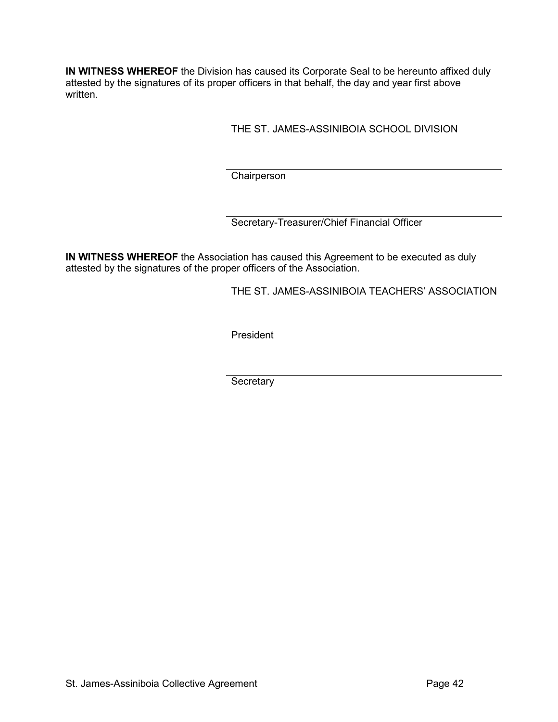**IN WITNESS WHEREOF** the Division has caused its Corporate Seal to be hereunto affixed duly attested by the signatures of its proper officers in that behalf, the day and year first above written.

THE ST. JAMES-ASSINIBOIA SCHOOL DIVISION

**Chairperson** 

Secretary-Treasurer/Chief Financial Officer

**IN WITNESS WHEREOF** the Association has caused this Agreement to be executed as duly attested by the signatures of the proper officers of the Association.

THE ST. JAMES-ASSINIBOIA TEACHERS' ASSOCIATION

**President** 

**Secretary**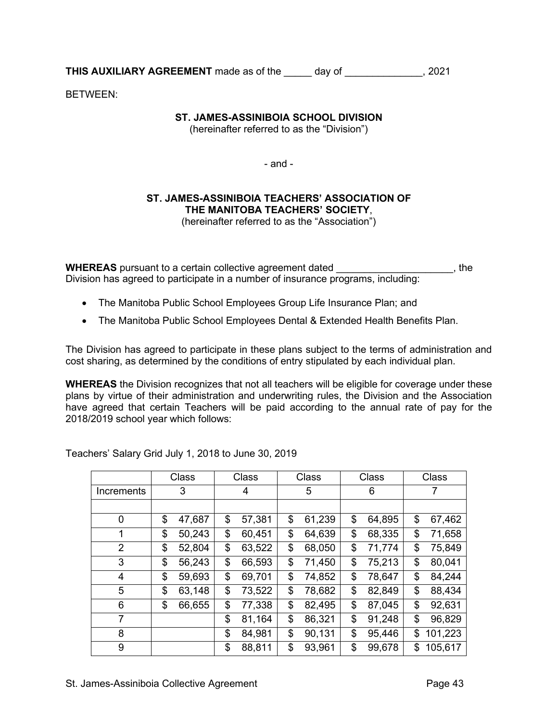**THIS AUXILIARY AGREEMENT** made as of the day of  $\qquad$ , 2021

BETWEEN:

## **ST. JAMES-ASSINIBOIA SCHOOL DIVISION**

(hereinafter referred to as the "Division")

- and -

# **ST. JAMES-ASSINIBOIA TEACHERS' ASSOCIATION OF THE MANITOBA TEACHERS' SOCIETY**,

(hereinafter referred to as the "Association")

**WHEREAS** pursuant to a certain collective agreement dated \_\_\_\_\_\_\_\_\_\_\_\_\_\_\_\_\_\_\_\_\_\_, the Division has agreed to participate in a number of insurance programs, including:

- The Manitoba Public School Employees Group Life Insurance Plan; and
- The Manitoba Public School Employees Dental & Extended Health Benefits Plan.

The Division has agreed to participate in these plans subject to the terms of administration and cost sharing, as determined by the conditions of entry stipulated by each individual plan.

**WHEREAS** the Division recognizes that not all teachers will be eligible for coverage under these plans by virtue of their administration and underwriting rules, the Division and the Association have agreed that certain Teachers will be paid according to the annual rate of pay for the 2018/2019 school year which follows:

|                | Class        | Class |        | Class |        | Class |        | Class |         |
|----------------|--------------|-------|--------|-------|--------|-------|--------|-------|---------|
| Increments     | 3            |       | 4      |       | 5      |       | 6      |       | 7       |
|                |              |       |        |       |        |       |        |       |         |
| 0              | \$<br>47,687 | \$    | 57,381 | \$    | 61,239 | \$    | 64,895 | \$    | 67,462  |
| $\mathbf 1$    | \$<br>50,243 | \$    | 60,451 | \$    | 64,639 | \$    | 68,335 | \$    | 71,658  |
| $\overline{2}$ | \$<br>52,804 | \$    | 63,522 | \$    | 68,050 | \$    | 71,774 | \$    | 75,849  |
| 3              | \$<br>56,243 | \$    | 66,593 | \$    | 71,450 | \$    | 75,213 | \$    | 80,041  |
| $\overline{4}$ | \$<br>59,693 | \$    | 69,701 | \$    | 74,852 | \$    | 78,647 | \$    | 84,244  |
| 5              | \$<br>63,148 | \$    | 73,522 | \$    | 78,682 | \$    | 82,849 | \$    | 88,434  |
| 6              | \$<br>66,655 | \$    | 77,338 | \$    | 82,495 | \$    | 87,045 | \$    | 92,631  |
| 7              |              | \$    | 81,164 | \$    | 86,321 | \$    | 91,248 | \$    | 96,829  |
| 8              |              | \$    | 84,981 | \$    | 90,131 | \$    | 95,446 | \$    | 101,223 |
| 9              |              | \$    | 88,811 | \$    | 93,961 | \$    | 99,678 | \$    | 105,617 |

Teachers' Salary Grid July 1, 2018 to June 30, 2019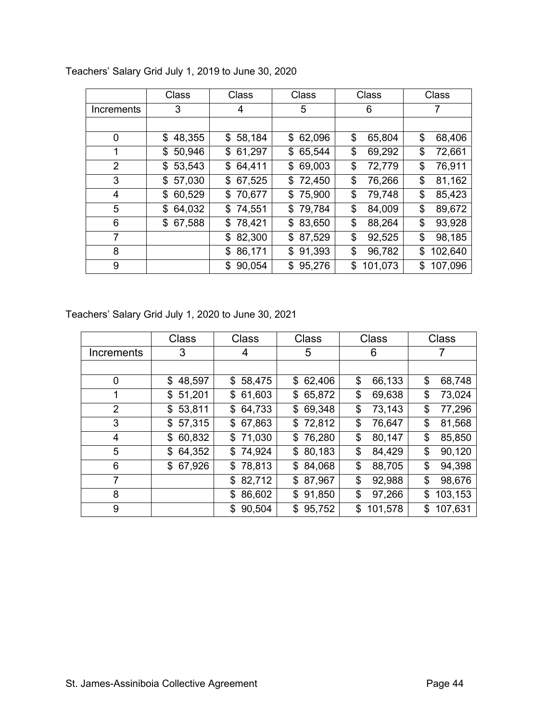|                | Class        | Class        | Class        | Class         | Class         |
|----------------|--------------|--------------|--------------|---------------|---------------|
| Increments     | 3            | 4            | 5            | 6             | 7             |
|                |              |              |              |               |               |
| 0              | \$48,355     | \$58,184     | \$62,096     | \$<br>65,804  | \$<br>68,406  |
| 1              | 50,946<br>\$ | \$61,297     | 65,544<br>\$ | \$<br>69,292  | \$<br>72,661  |
| $\overline{2}$ | 53,543<br>\$ | 64,411<br>\$ | \$<br>69,003 | \$<br>72,779  | \$<br>76,911  |
| 3              | \$57,030     | \$67,525     | \$72,450     | \$<br>76,266  | \$<br>81,162  |
| 4              | 60,529<br>\$ | \$70,677     | \$75,900     | \$<br>79,748  | \$<br>85,423  |
| 5              | 64,032<br>\$ | \$74,551     | 79,784<br>\$ | \$<br>84,009  | \$<br>89,672  |
| 6              | \$67,588     | \$78,421     | \$83,650     | \$<br>88,264  | \$<br>93,928  |
| $\overline{7}$ |              | 82,300<br>\$ | \$87,529     | \$<br>92,525  | \$<br>98,185  |
| 8              |              | 86,171<br>\$ | \$<br>91,393 | \$<br>96,782  | \$<br>102,640 |
| 9              |              | 90,054<br>\$ | \$95,276     | \$<br>101,073 | \$<br>107,096 |

Teachers' Salary Grid July 1, 2019 to June 30, 2020

Teachers' Salary Grid July 1, 2020 to June 30, 2021

|                | <b>Class</b> | <b>Class</b> | <b>Class</b> | <b>Class</b>  | <b>Class</b>  |
|----------------|--------------|--------------|--------------|---------------|---------------|
| Increments     | 3            | 4            | 5            | 6             |               |
|                |              |              |              |               |               |
| 0              | 48,597<br>\$ | \$58,475     | \$62,406     | \$<br>66,133  | 68,748<br>\$  |
| 1              | \$51,201     | \$61,603     | \$65,872     | \$<br>69,638  | \$<br>73,024  |
| $\overline{2}$ | \$53,811     | \$64,733     | \$69,348     | \$<br>73,143  | 77,296<br>\$  |
| 3              | \$57,315     | \$67,863     | \$72,812     | \$<br>76,647  | 81,568<br>\$  |
| 4              | 60,832<br>\$ | \$71,030     | \$76,280     | \$<br>80,147  | 85,850<br>\$  |
| 5              | 64,352<br>\$ | \$74,924     | \$80,183     | \$<br>84,429  | 90,120<br>\$  |
| 6              | \$67,926     | \$78,813     | \$84,068     | \$<br>88,705  | 94,398<br>\$  |
| 7              |              | 82,712<br>\$ | \$87,967     | \$<br>92,988  | 98,676<br>\$  |
| 8              |              | 86,602<br>\$ | 91,850<br>\$ | \$<br>97,266  | 103,153<br>\$ |
| 9              |              | 90,504<br>\$ | \$95,752     | \$<br>101,578 | 107,631<br>\$ |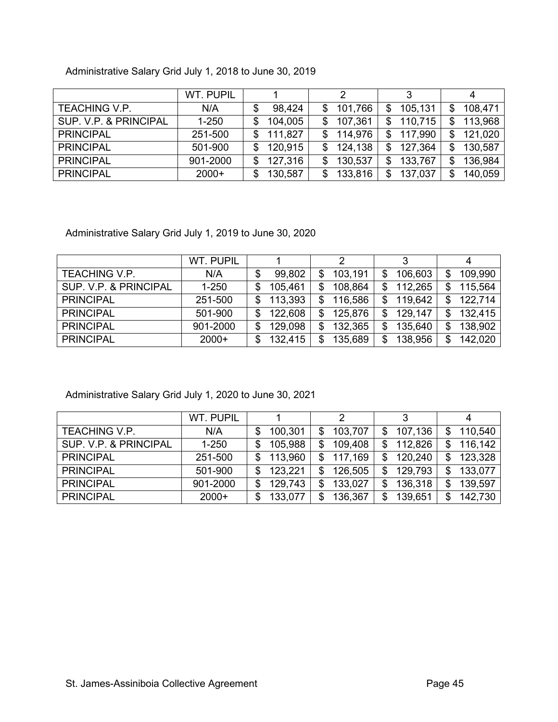# Administrative Salary Grid July 1, 2018 to June 30, 2019

|                       | WT. PUPIL |    |         |     | 2       |    |         |     |         |
|-----------------------|-----------|----|---------|-----|---------|----|---------|-----|---------|
| TEACHING V.P.         | N/A       |    | 98,424  | \$  | 101,766 | \$ | 105,131 | \$  | 108,471 |
| SUP. V.P. & PRINCIPAL | $1 - 250$ | S  | 104,005 | \$  | 107,361 | S  | 110,715 | \$  | 113,968 |
| <b>PRINCIPAL</b>      | 251-500   | S  | 111,827 | \$. | 114,976 | S  | 117,990 | \$. | 121,020 |
| <b>PRINCIPAL</b>      | 501-900   | S  | 120,915 | \$  | 124,138 | S  | 127,364 | \$  | 130,587 |
| <b>PRINCIPAL</b>      | 901-2000  | \$ | 127,316 | \$  | 130,537 | \$ | 133,767 | \$  | 136,984 |
| <b>PRINCIPAL</b>      | $2000+$   | S  | 130,587 | S   | 133,816 | \$ | 137,037 | \$  | 140,059 |

Administrative Salary Grid July 1, 2019 to June 30, 2020

|                       | <b>WT. PUPIL</b> |    |         |               |    | 3       |     |         |
|-----------------------|------------------|----|---------|---------------|----|---------|-----|---------|
| <b>TEACHING V.P.</b>  | N/A              | \$ | 99,802  | \$<br>103,191 | \$ | 106,603 | \$  | 109,990 |
| SUP. V.P. & PRINCIPAL | $1 - 250$        | S  | 105,461 | \$<br>108,864 | \$ | 112,265 | \$. | 115,564 |
| <b>PRINCIPAL</b>      | 251-500          | \$ | 113,393 | \$<br>116,586 |    | 119,642 | \$  | 122,714 |
| <b>PRINCIPAL</b>      | 501-900          | S  | 122,608 | \$<br>125,876 | \$ | 129,147 | \$. | 132,415 |
| <b>PRINCIPAL</b>      | 901-2000         | \$ | 129,098 | \$<br>132,365 | \$ | 135,640 | \$  | 138,902 |
| <b>PRINCIPAL</b>      | $2000+$          | S  | 132,415 | \$<br>135,689 | S  | 138,956 | \$  | 142,020 |

Administrative Salary Grid July 1, 2020 to June 30, 2021

|                       | WT. PUPIL |     |         |               | 3             |     |         |
|-----------------------|-----------|-----|---------|---------------|---------------|-----|---------|
| <b>TEACHING V.P.</b>  | N/A       |     | 100,301 | \$<br>103,707 | 107,136       | \$. | 110,540 |
| SUP. V.P. & PRINCIPAL | $1 - 250$ | \$  | 105,988 | \$<br>109,408 | \$<br>112,826 | \$. | 116,142 |
| <b>PRINCIPAL</b>      | 251-500   | \$. | 113,960 | \$<br>117,169 | \$<br>120,240 | \$  | 123,328 |
| <b>PRINCIPAL</b>      | 501-900   | \$  | 123,221 | \$<br>126,505 | \$<br>129,793 | \$  | 133,077 |
| <b>PRINCIPAL</b>      | 901-2000  | \$  | 129,743 | \$<br>133,027 | \$<br>136,318 | \$  | 139,597 |
| <b>PRINCIPAL</b>      | $2000+$   | \$  | 133,077 | \$<br>136,367 | 139,651       | \$  | 142,730 |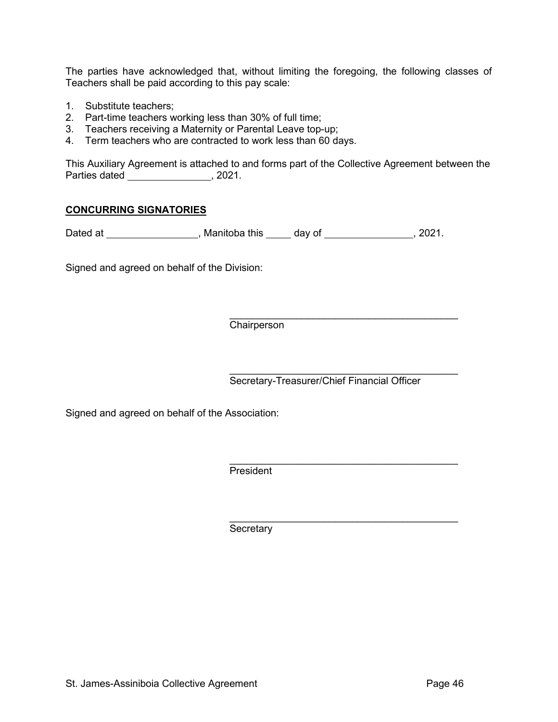The parties have acknowledged that, without limiting the foregoing, the following classes of Teachers shall be paid according to this pay scale:

- 1. Substitute teachers;
- 2. Part-time teachers working less than 30% of full time;
- 3. Teachers receiving a Maternity or Parental Leave top-up;
- 4. Term teachers who are contracted to work less than 60 days.

This Auxiliary Agreement is attached to and forms part of the Collective Agreement between the Parties dated \_\_\_\_\_\_\_\_\_\_\_\_\_\_\_\_, 2021.

#### **CONCURRING SIGNATORIES**

Dated at \_\_\_\_\_\_\_\_\_\_\_\_\_\_\_\_\_\_, Manitoba this \_\_\_\_\_ day of \_\_\_\_\_\_\_\_\_\_\_\_\_\_\_\_, 2021.

Signed and agreed on behalf of the Division:

\_\_\_\_\_\_\_\_\_\_\_\_\_\_\_\_\_\_\_\_\_\_\_\_\_\_\_\_\_\_\_\_\_\_\_\_\_\_\_\_\_ Chairperson

\_\_\_\_\_\_\_\_\_\_\_\_\_\_\_\_\_\_\_\_\_\_\_\_\_\_\_\_\_\_\_\_\_\_\_\_\_\_\_\_\_ Secretary-Treasurer/Chief Financial Officer

Signed and agreed on behalf of the Association:

\_\_\_\_\_\_\_\_\_\_\_\_\_\_\_\_\_\_\_\_\_\_\_\_\_\_\_\_\_\_\_\_\_\_\_\_\_\_\_\_\_ President

\_\_\_\_\_\_\_\_\_\_\_\_\_\_\_\_\_\_\_\_\_\_\_\_\_\_\_\_\_\_\_\_\_\_\_\_\_\_\_\_\_ **Secretary**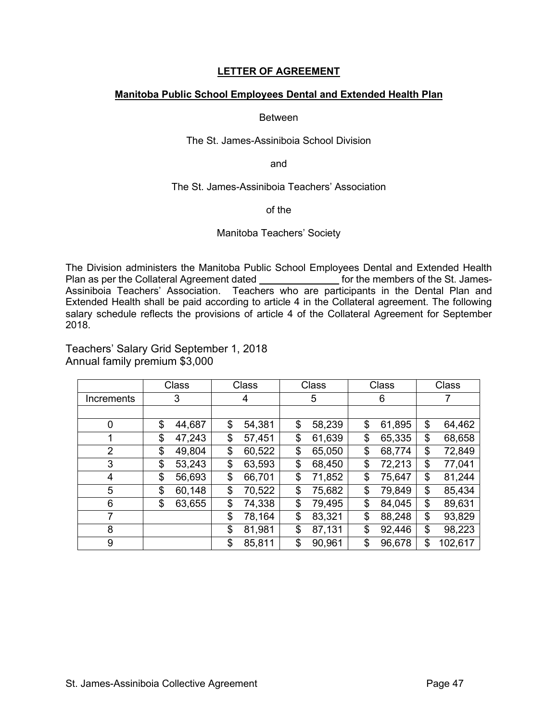#### **LETTER OF AGREEMENT**

#### **Manitoba Public School Employees Dental and Extended Health Plan**

#### Between

#### The St. James-Assiniboia School Division

and

#### The St. James-Assiniboia Teachers' Association

#### of the

#### Manitoba Teachers' Society

The Division administers the Manitoba Public School Employees Dental and Extended Health Plan as per the Collateral Agreement dated **for the members of the St. James-**Assiniboia Teachers' Association. Teachers who are participants in the Dental Plan and Extended Health shall be paid according to article 4 in the Collateral agreement. The following salary schedule reflects the provisions of article 4 of the Collateral Agreement for September 2018.

Teachers' Salary Grid September 1, 2018 Annual family premium \$3,000

|                | Class  | Class        | Class        | Class        | Class         |
|----------------|--------|--------------|--------------|--------------|---------------|
| Increments     | 3      | 4            | 5            | 6            |               |
|                |        |              |              |              |               |
| 0              | \$     | \$           | \$           | \$           | 64,462        |
|                | 44,687 | 54,381       | 58,239       | 61,895       | \$            |
| 1              | \$     | \$           | \$           | \$           | 68,658        |
|                | 47,243 | 57,451       | 61,639       | 65,335       | \$            |
| $\overline{2}$ | \$     | \$           | \$           | \$           | 72,849        |
|                | 49,804 | 60,522       | 65,050       | 68,774       | \$            |
| 3              | \$     | \$           | \$           | \$           | 77,041        |
|                | 53,243 | 63,593       | 68,450       | 72,213       | \$            |
| 4              | \$     | \$           | \$           | \$           | 81,244        |
|                | 56,693 | 66,701       | 71,852       | 75,647       | \$            |
| 5              | \$     | \$           | \$           | \$           | 85,434        |
|                | 60,148 | 70,522       | 75,682       | 79,849       | \$            |
| 6              | \$     | \$           | \$           | \$           | 89,631        |
|                | 63,655 | 74,338       | 79,495       | 84,045       | \$            |
| 7              |        | \$<br>78,164 | \$<br>83,321 | \$<br>88,248 | \$<br>93,829  |
| 8              |        | \$<br>81,981 | \$<br>87,131 | \$<br>92,446 | \$<br>98,223  |
| 9              |        | \$<br>85,811 | \$<br>90,961 | \$<br>96,678 | 102,617<br>\$ |